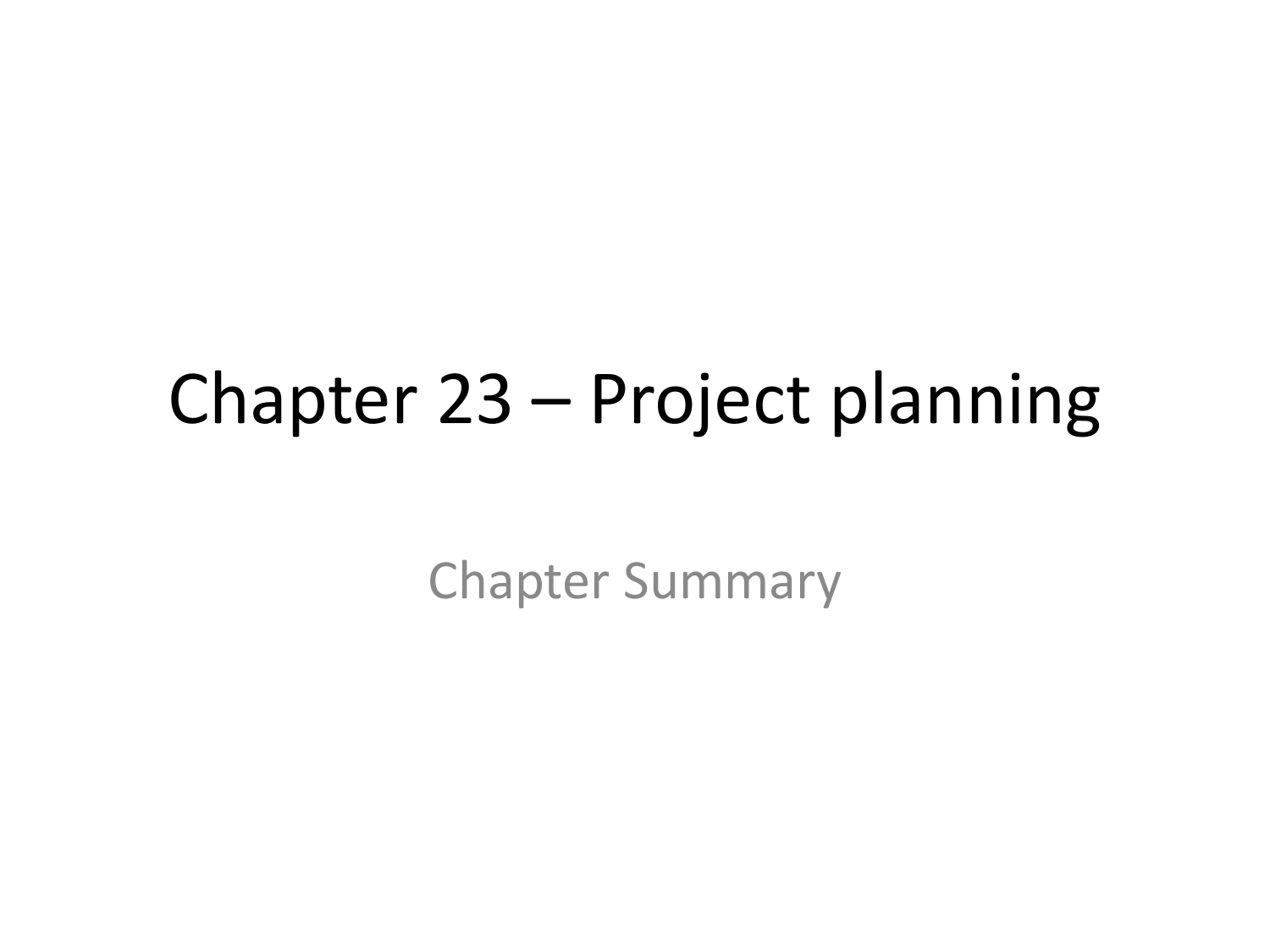#### Chapter 23 – Project planning

Chapter Summary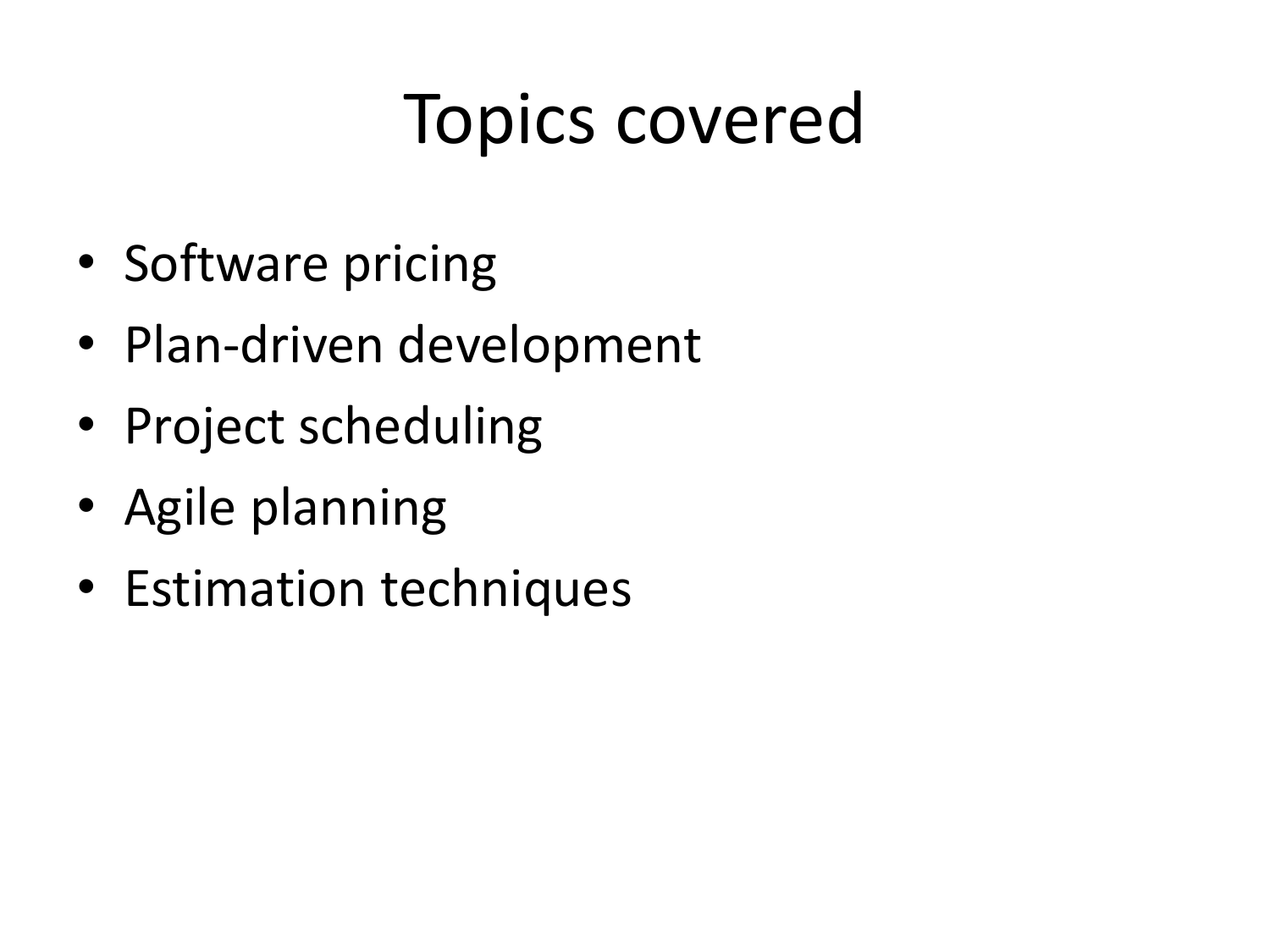## Topics covered

- Software pricing
- Plan-driven development
- Project scheduling
- Agile planning
- Estimation techniques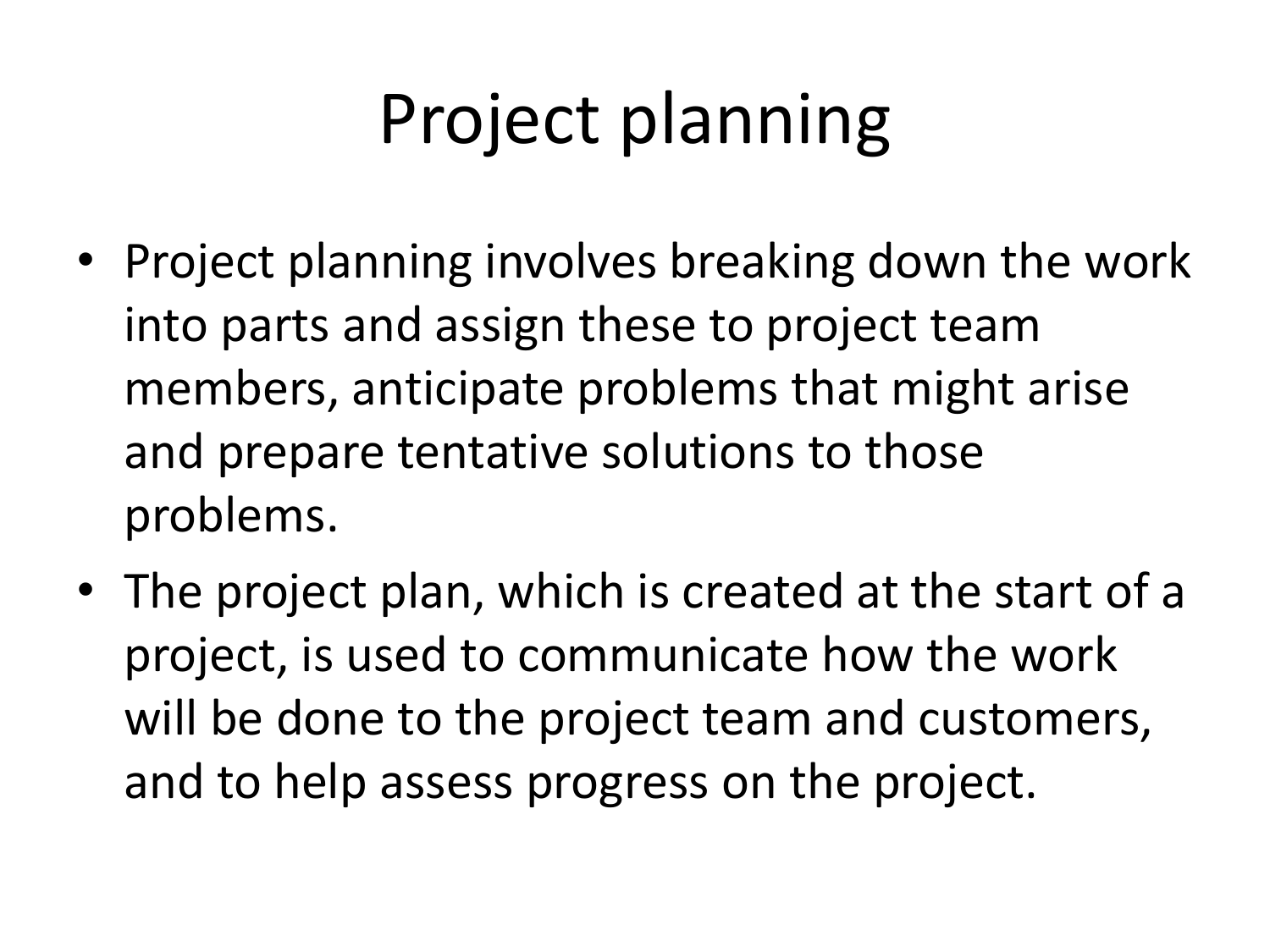## Project planning

- Project planning involves breaking down the work into parts and assign these to project team members, anticipate problems that might arise and prepare tentative solutions to those problems.
- The project plan, which is created at the start of a project, is used to communicate how the work will be done to the project team and customers, and to help assess progress on the project.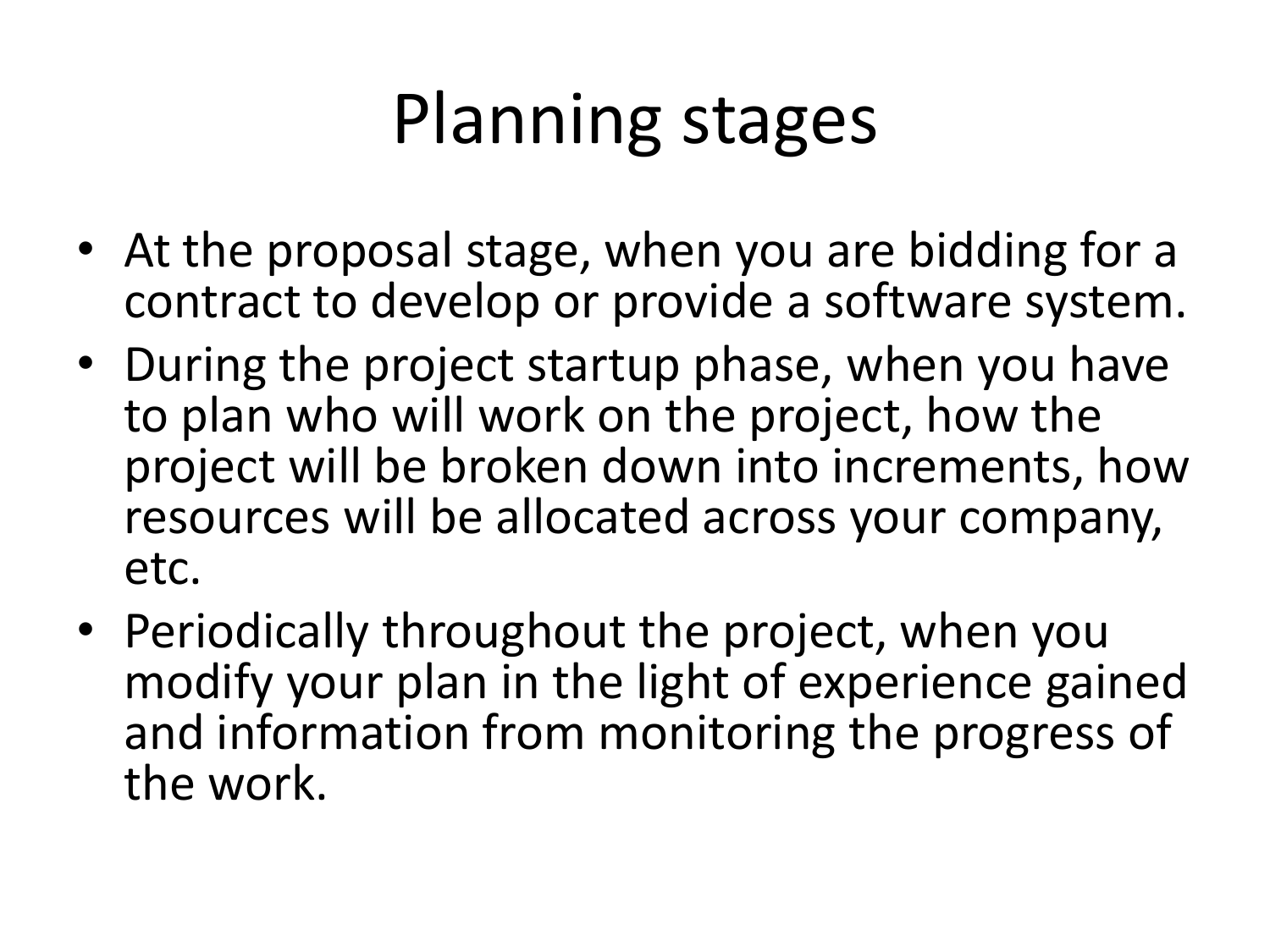## Planning stages

- At the proposal stage, when you are bidding for a contract to develop or provide a software system.
- During the project startup phase, when you have to plan who will work on the project, how the project will be broken down into increments, how resources will be allocated across your company, etc.
- Periodically throughout the project, when you modify your plan in the light of experience gained and information from monitoring the progress of the work.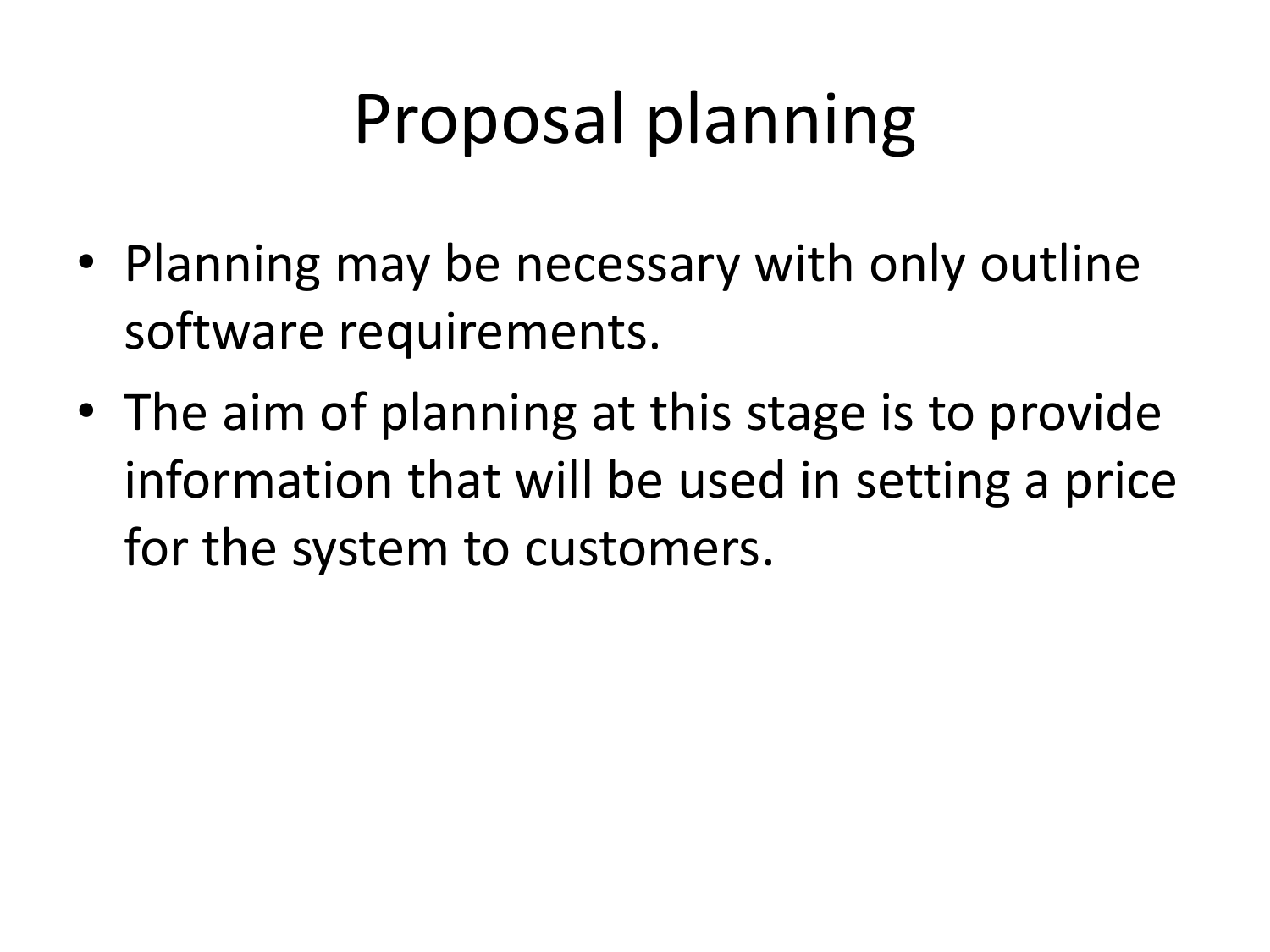## Proposal planning

- Planning may be necessary with only outline software requirements.
- The aim of planning at this stage is to provide information that will be used in setting a price for the system to customers.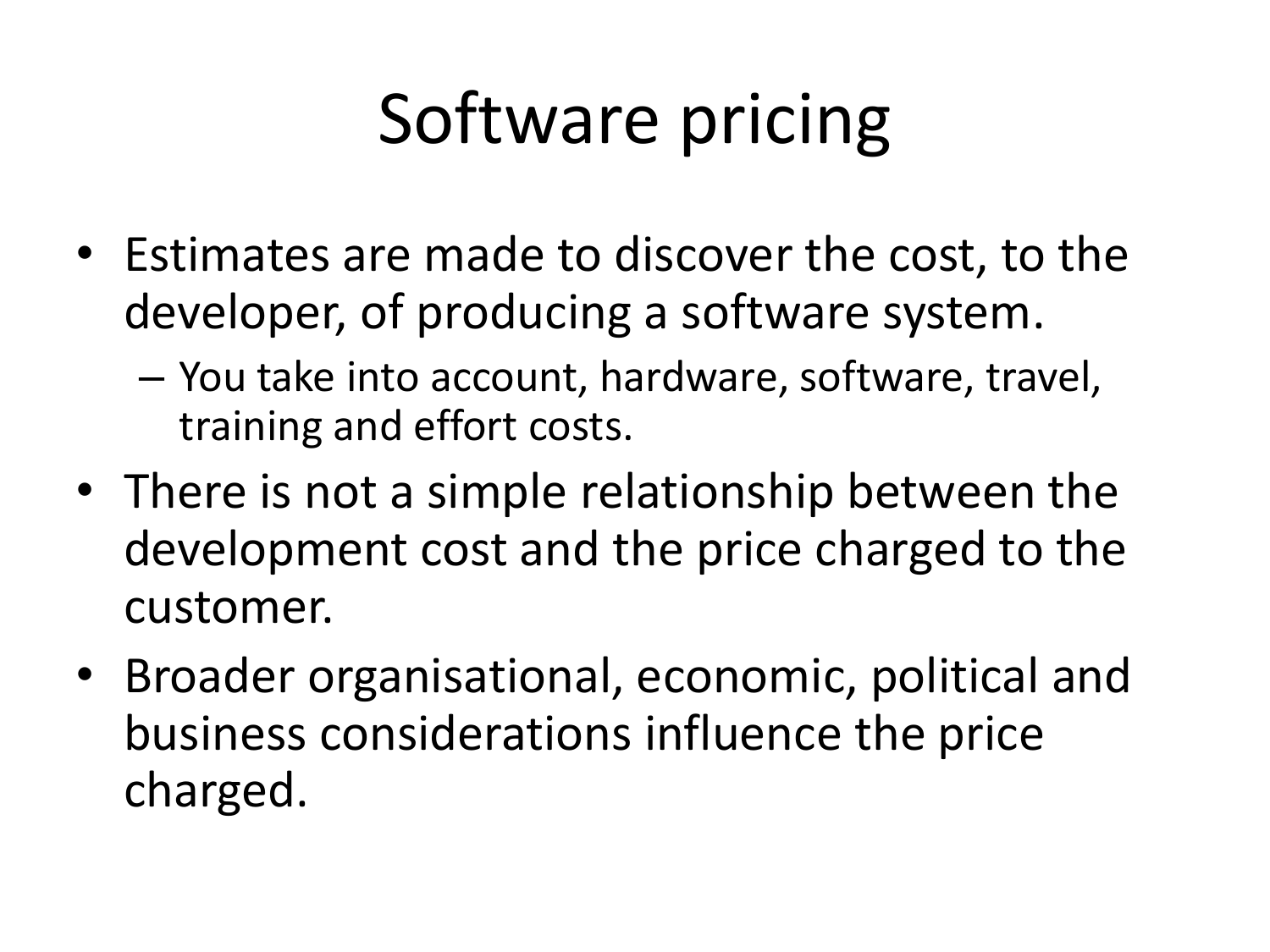## Software pricing

- Estimates are made to discover the cost, to the developer, of producing a software system.
	- You take into account, hardware, software, travel, training and effort costs.
- There is not a simple relationship between the development cost and the price charged to the customer.
- Broader organisational, economic, political and business considerations influence the price charged.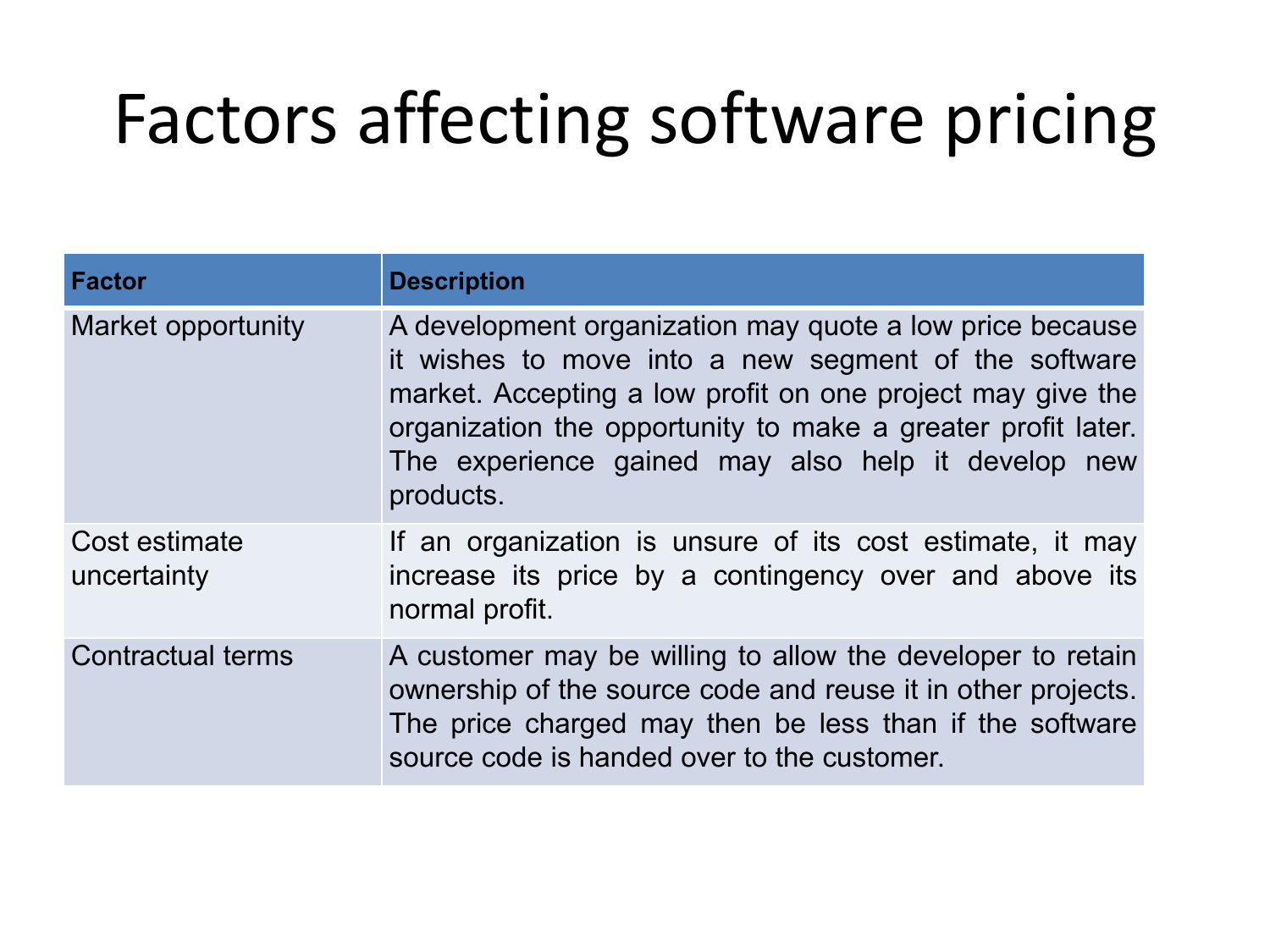#### Factors affecting software pricing

| <b>Factor</b>                | <b>Description</b>                                                                                                                                                                                                                                                                                                |
|------------------------------|-------------------------------------------------------------------------------------------------------------------------------------------------------------------------------------------------------------------------------------------------------------------------------------------------------------------|
| Market opportunity           | A development organization may quote a low price because<br>it wishes to move into a new segment of the software<br>market. Accepting a low profit on one project may give the<br>organization the opportunity to make a greater profit later.<br>The experience gained may also help it develop new<br>products. |
| Cost estimate<br>uncertainty | If an organization is unsure of its cost estimate, it may<br>increase its price by a contingency over and above its<br>normal profit.                                                                                                                                                                             |
| <b>Contractual terms</b>     | A customer may be willing to allow the developer to retain<br>ownership of the source code and reuse it in other projects.<br>The price charged may then be less than if the software<br>source code is handed over to the customer.                                                                              |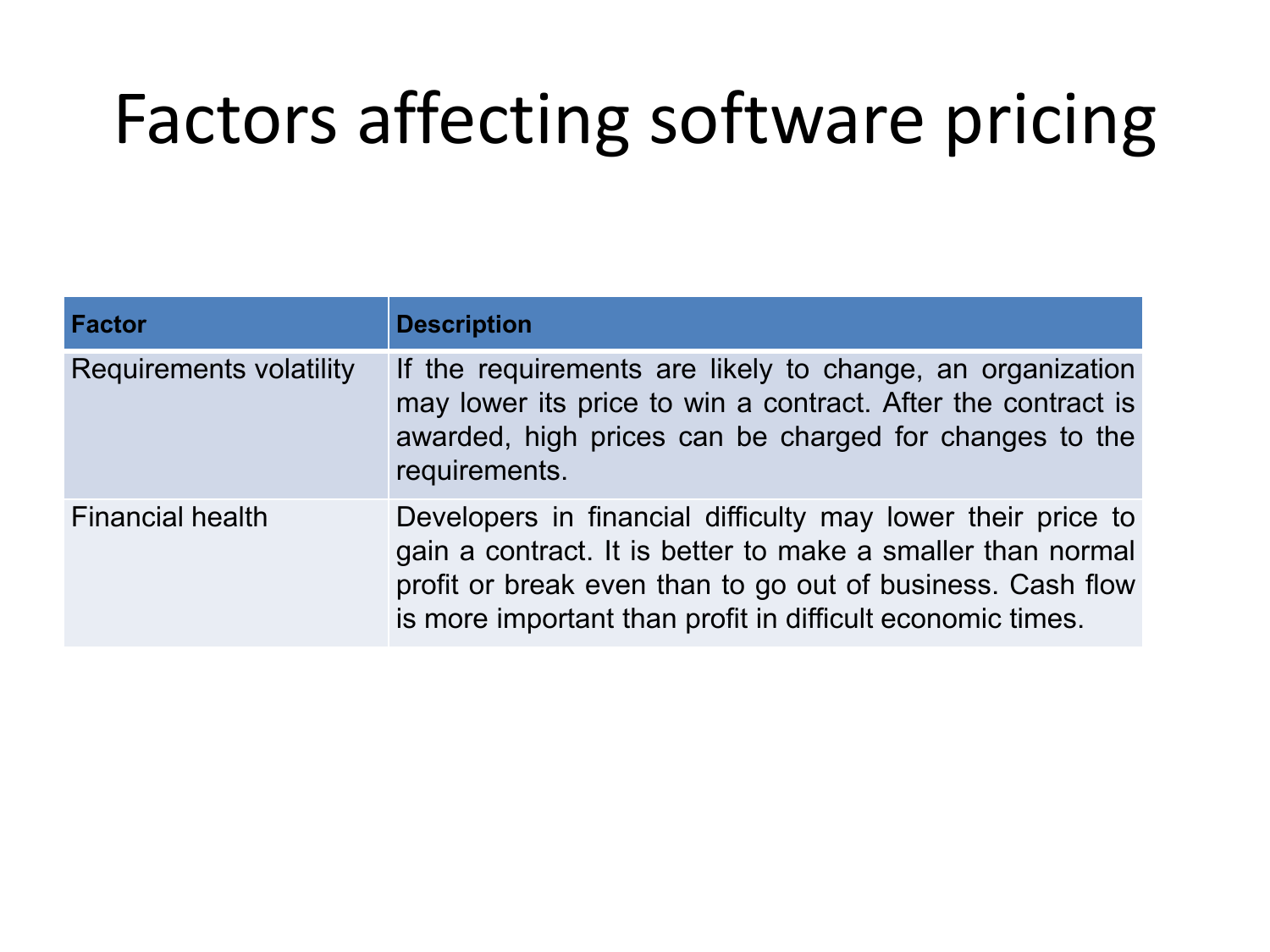## Factors affecting software pricing

| <b>Factor</b>                  | <b>Description</b>                                                                                                                                                                                                                                     |
|--------------------------------|--------------------------------------------------------------------------------------------------------------------------------------------------------------------------------------------------------------------------------------------------------|
| <b>Requirements volatility</b> | If the requirements are likely to change, an organization<br>may lower its price to win a contract. After the contract is<br>awarded, high prices can be charged for changes to the<br>requirements.                                                   |
| <b>Financial health</b>        | Developers in financial difficulty may lower their price to<br>gain a contract. It is better to make a smaller than normal<br>profit or break even than to go out of business. Cash flow<br>is more important than profit in difficult economic times. |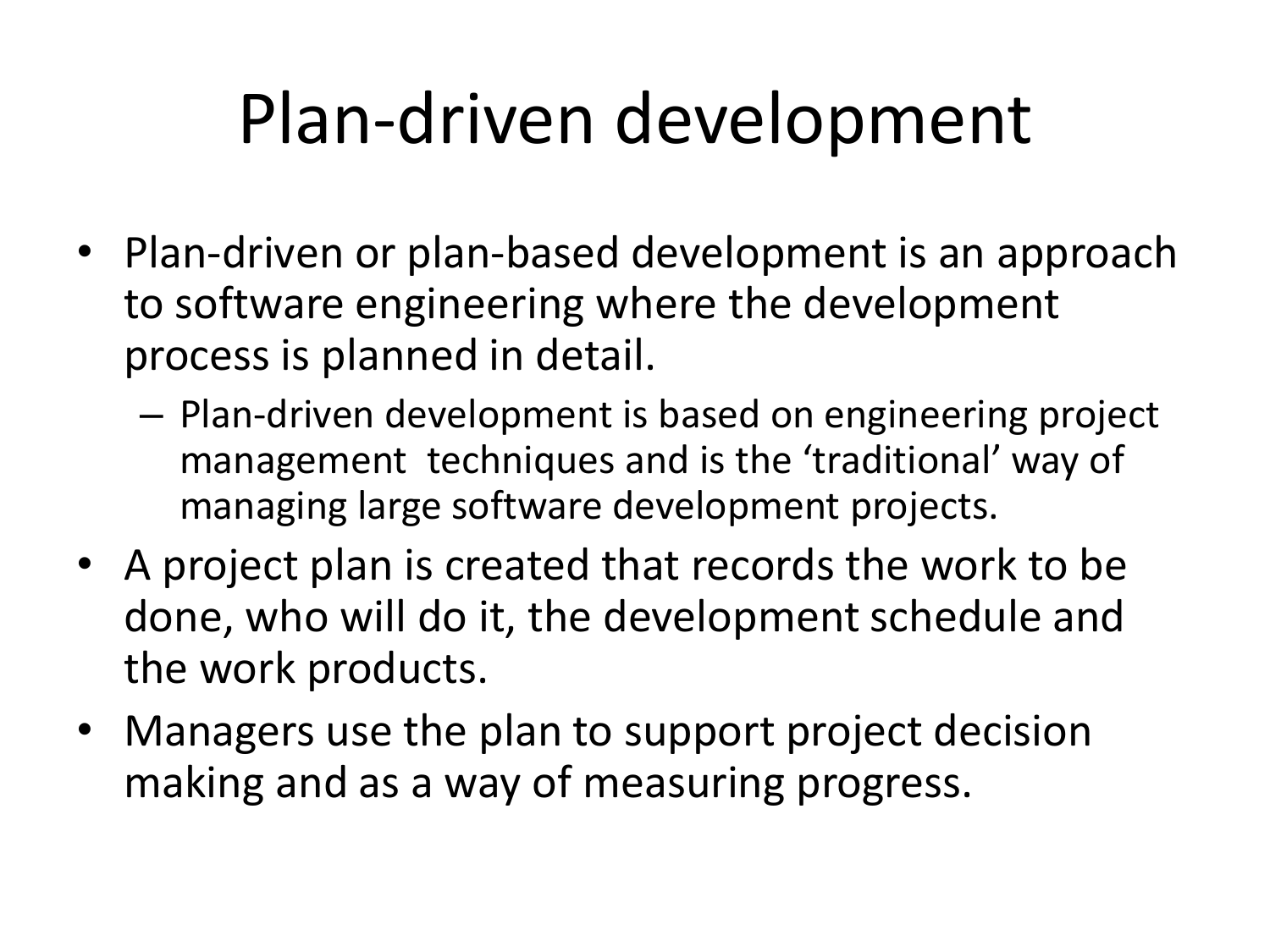## Plan-driven development

- Plan-driven or plan-based development is an approach to software engineering where the development process is planned in detail.
	- Plan-driven development is based on engineering project management techniques and is the 'traditional' way of managing large software development projects.
- A project plan is created that records the work to be done, who will do it, the development schedule and the work products.
- Managers use the plan to support project decision making and as a way of measuring progress.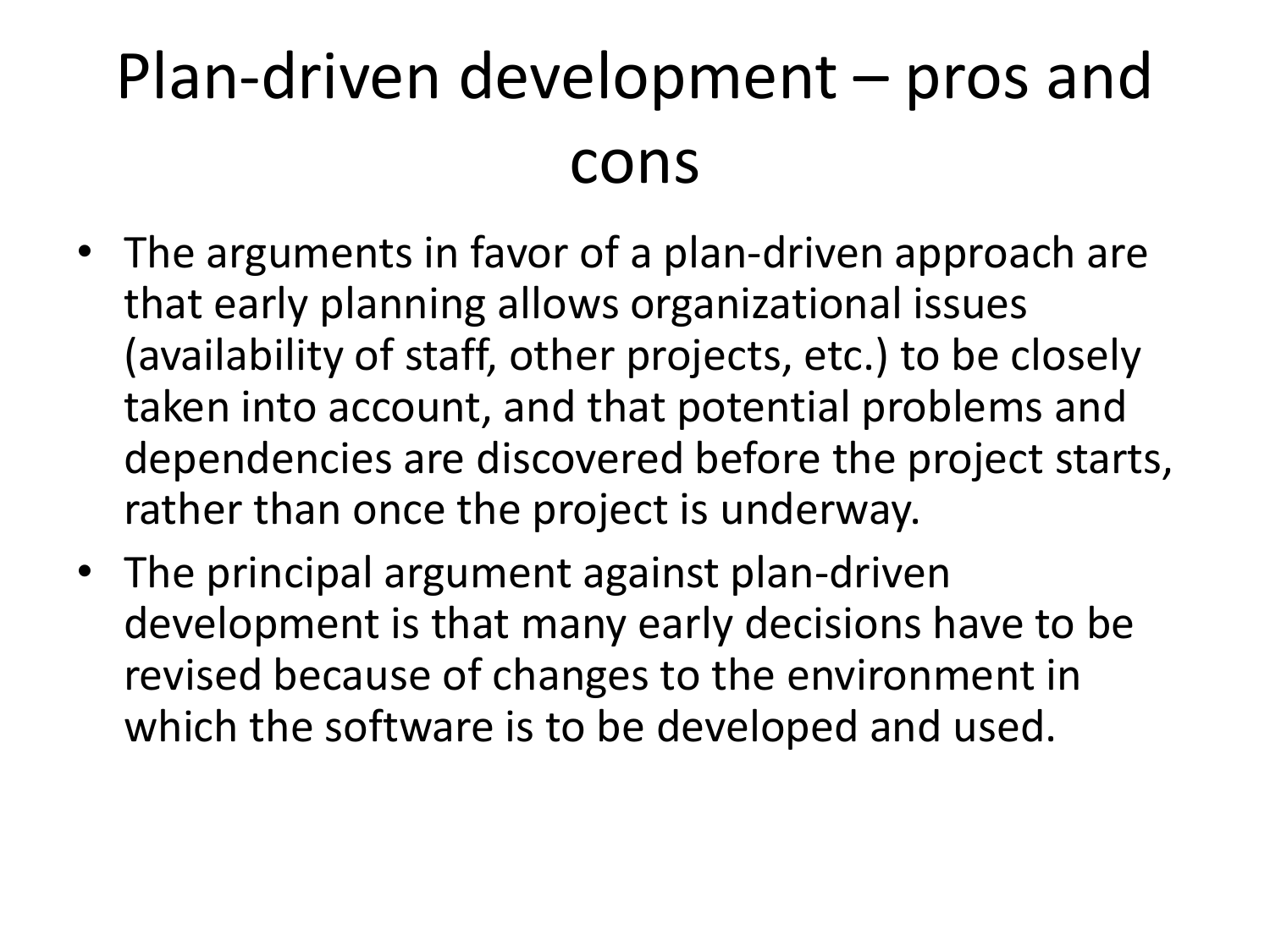#### Plan-driven development – pros and cons

- The arguments in favor of a plan-driven approach are that early planning allows organizational issues (availability of staff, other projects, etc.) to be closely taken into account, and that potential problems and dependencies are discovered before the project starts, rather than once the project is underway.
- The principal argument against plan-driven development is that many early decisions have to be revised because of changes to the environment in which the software is to be developed and used.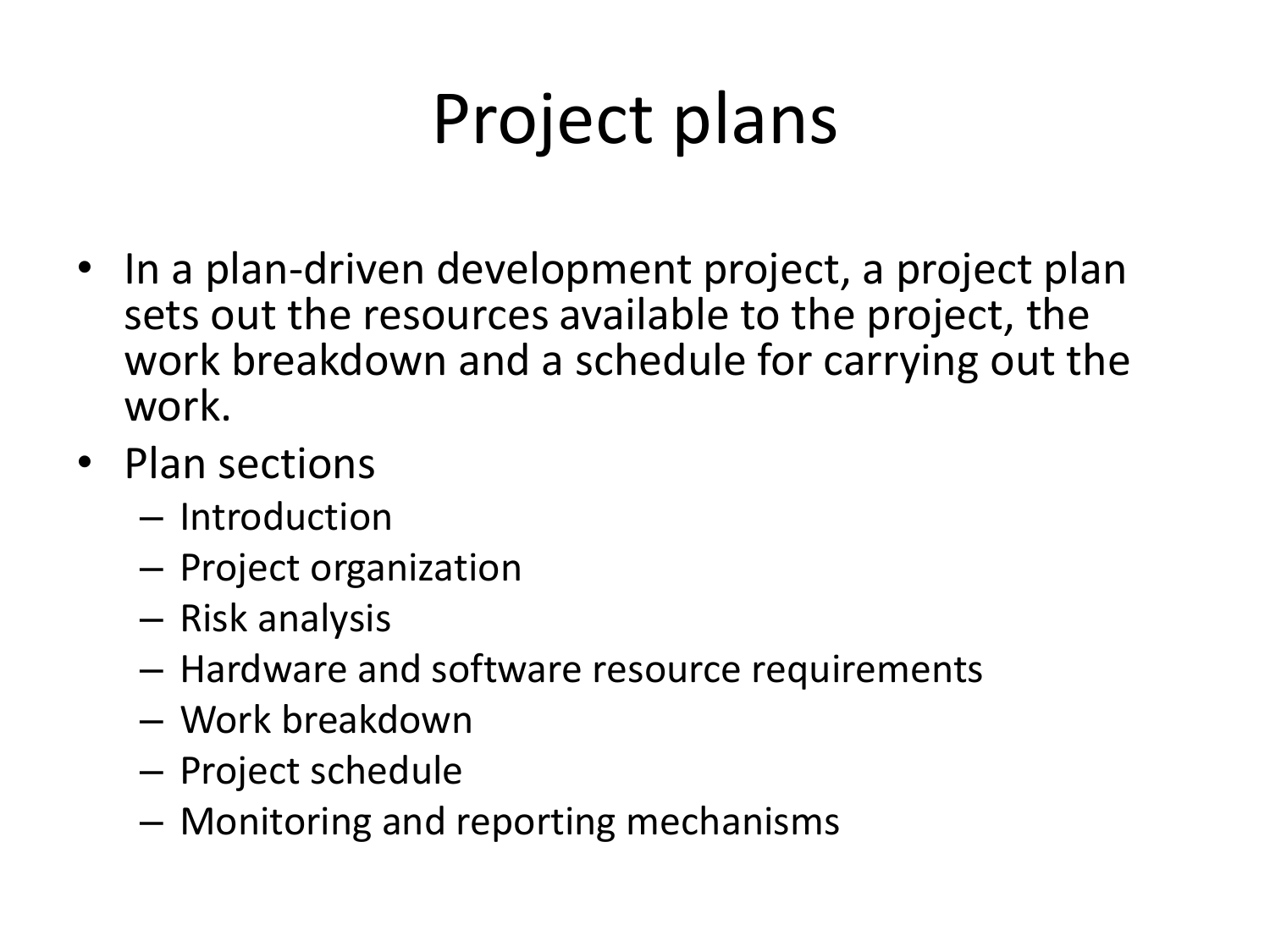## Project plans

- In a plan-driven development project, a project plan sets out the resources available to the project, the work breakdown and a schedule for carrying out the work.
- Plan sections
	- Introduction
	- Project organization
	- Risk analysis
	- Hardware and software resource requirements
	- Work breakdown
	- Project schedule
	- Monitoring and reporting mechanisms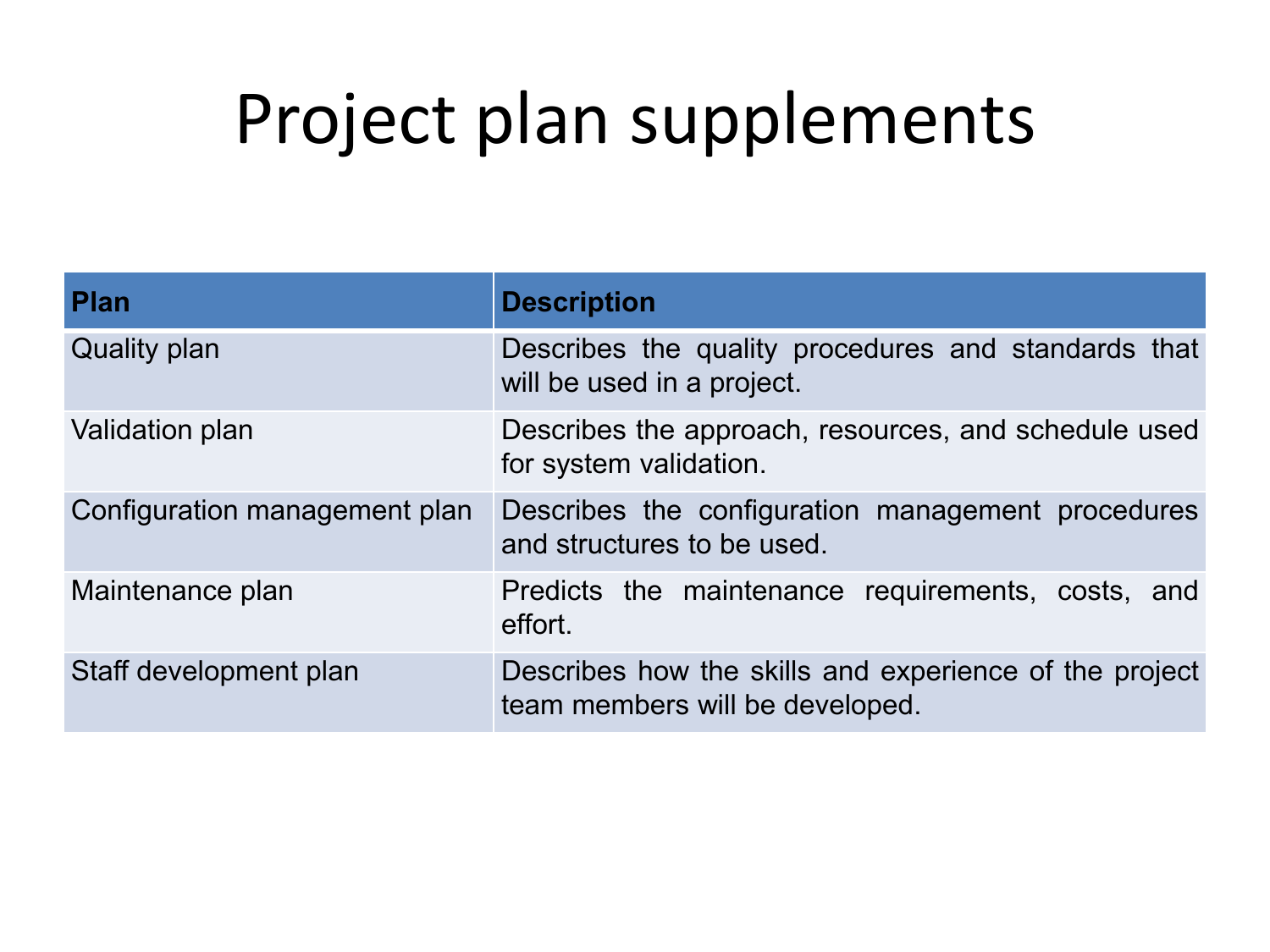#### Project plan supplements

| <b>Plan</b>                   | <b>Description</b>                                                                        |
|-------------------------------|-------------------------------------------------------------------------------------------|
| <b>Quality plan</b>           | Describes the quality procedures and standards that<br>will be used in a project.         |
| Validation plan               | Describes the approach, resources, and schedule used<br>for system validation.            |
| Configuration management plan | Describes the configuration management procedures<br>and structures to be used.           |
| Maintenance plan              | Predicts the maintenance requirements, costs, and<br>effort.                              |
| Staff development plan        | Describes how the skills and experience of the project<br>team members will be developed. |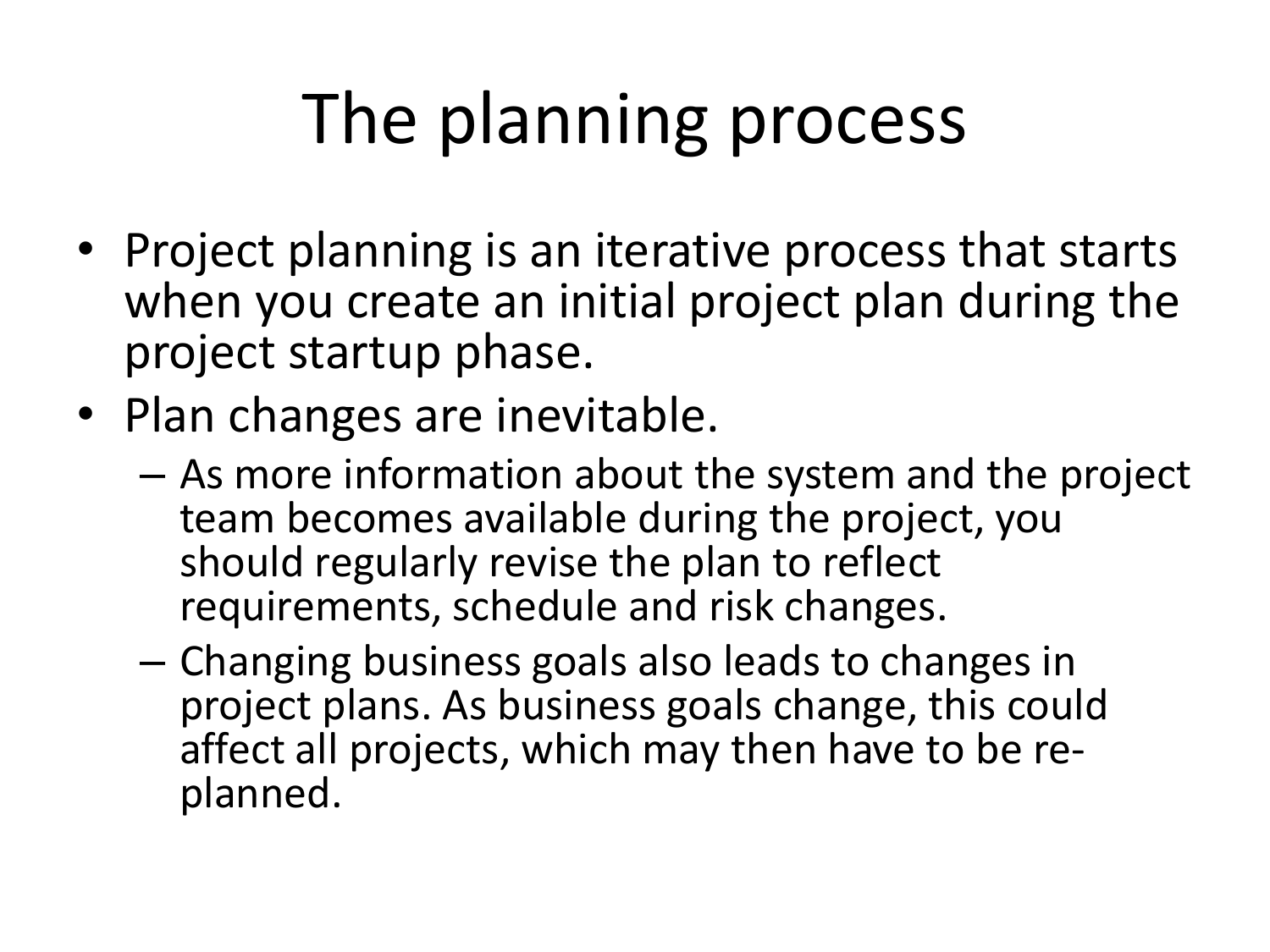## The planning process

- Project planning is an iterative process that starts when you create an initial project plan during the project startup phase.
- Plan changes are inevitable.
	- As more information about the system and the project team becomes available during the project, you should regularly revise the plan to reflect requirements, schedule and risk changes.
	- Changing business goals also leads to changes in project plans. As business goals change, this could affect all projects, which may then have to be replanned.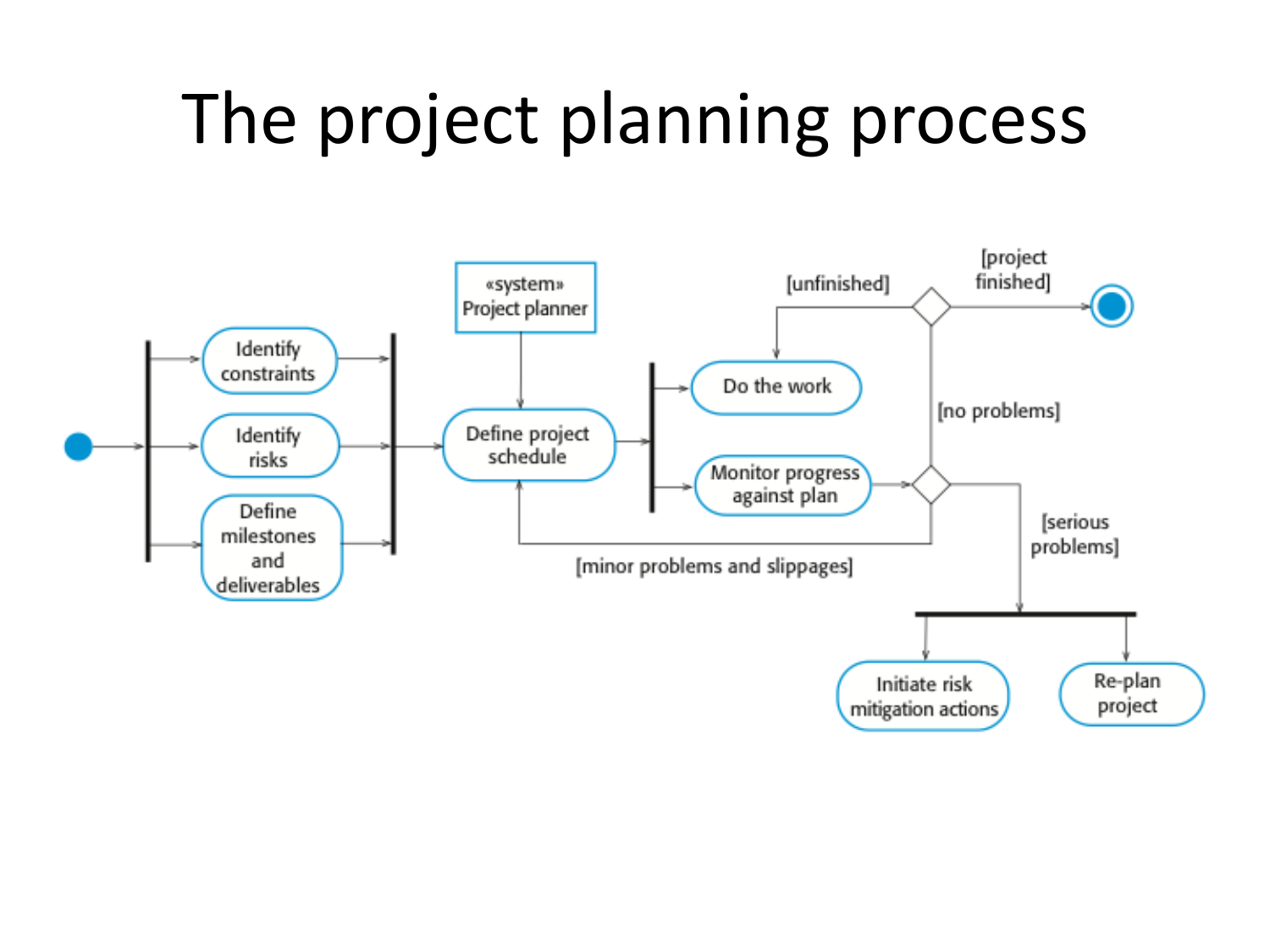## The project planning process

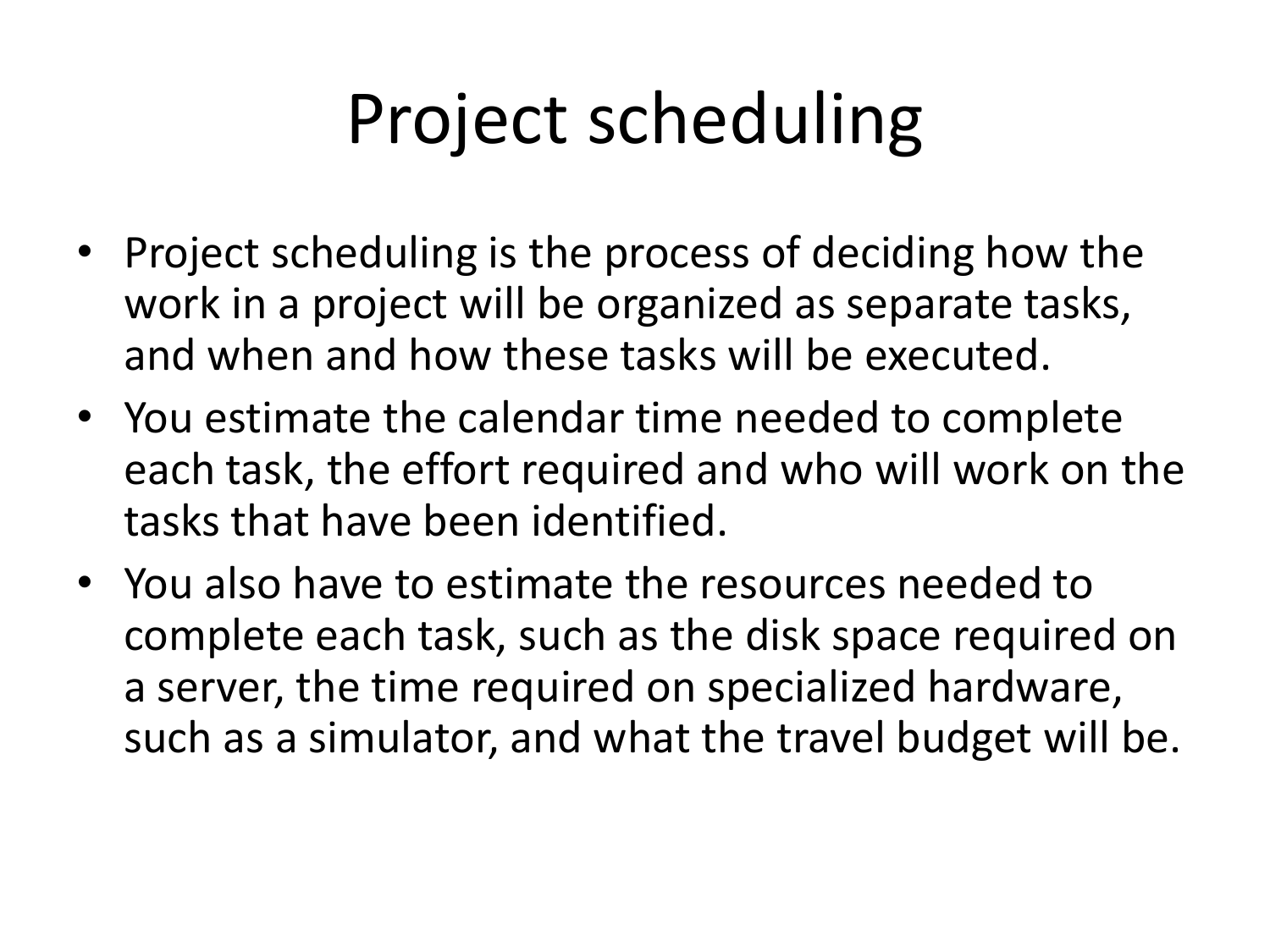## Project scheduling

- Project scheduling is the process of deciding how the work in a project will be organized as separate tasks, and when and how these tasks will be executed.
- You estimate the calendar time needed to complete each task, the effort required and who will work on the tasks that have been identified.
- You also have to estimate the resources needed to complete each task, such as the disk space required on a server, the time required on specialized hardware, such as a simulator, and what the travel budget will be.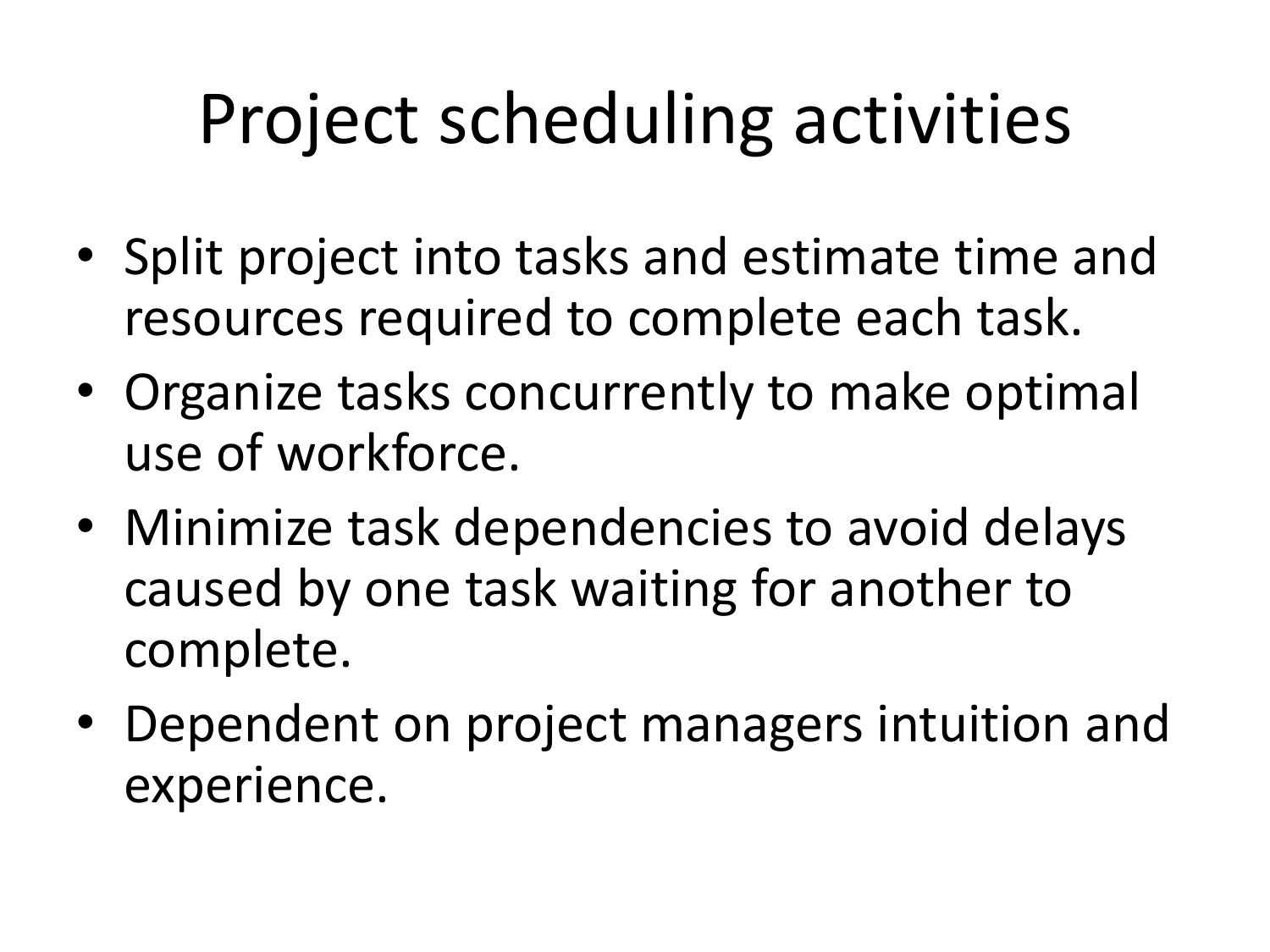## Project scheduling activities

- Split project into tasks and estimate time and resources required to complete each task.
- Organize tasks concurrently to make optimal use of workforce.
- Minimize task dependencies to avoid delays caused by one task waiting for another to complete.
- Dependent on project managers intuition and experience.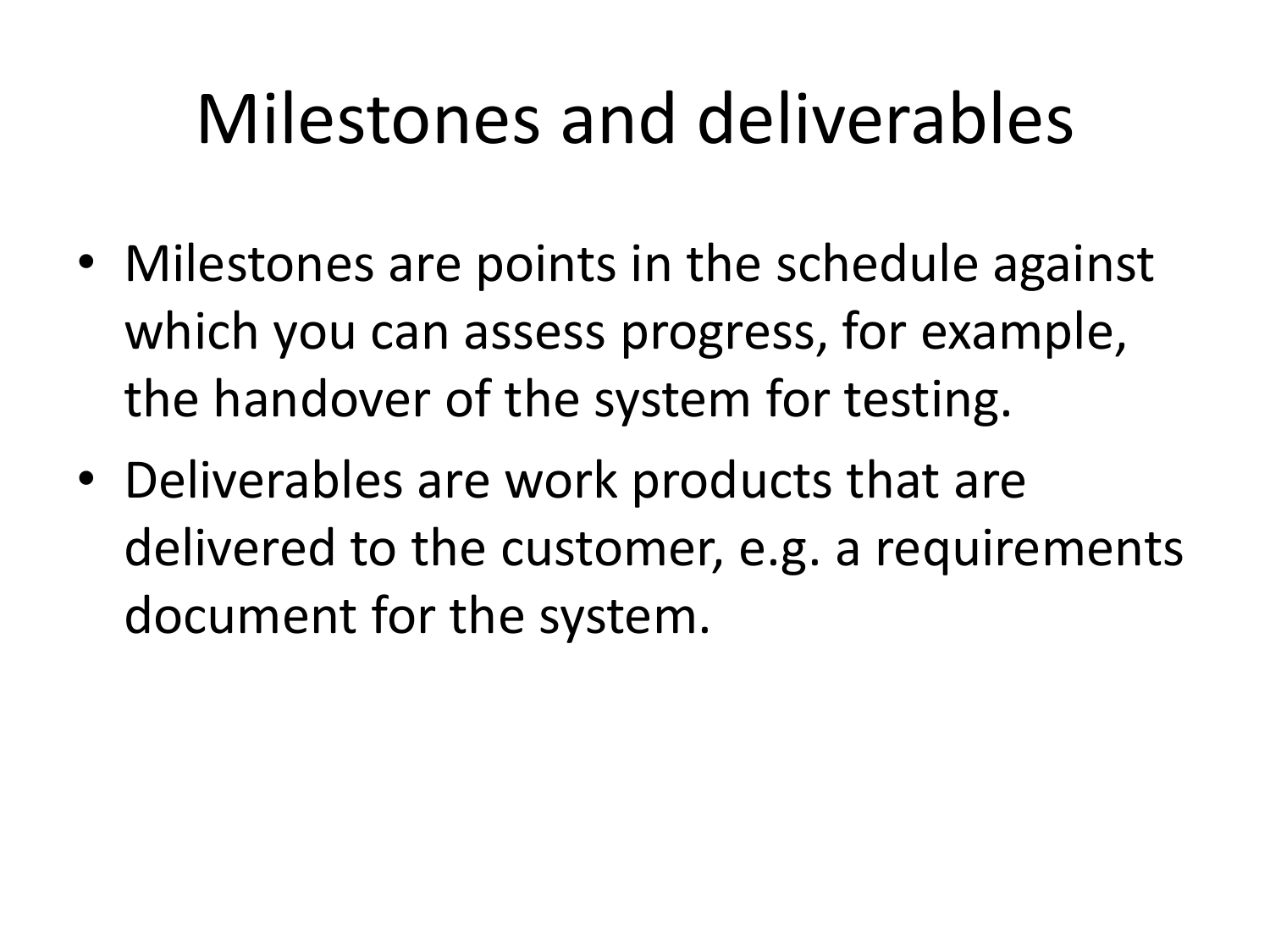### Milestones and deliverables

- Milestones are points in the schedule against which you can assess progress, for example, the handover of the system for testing.
- Deliverables are work products that are delivered to the customer, e.g. a requirements document for the system.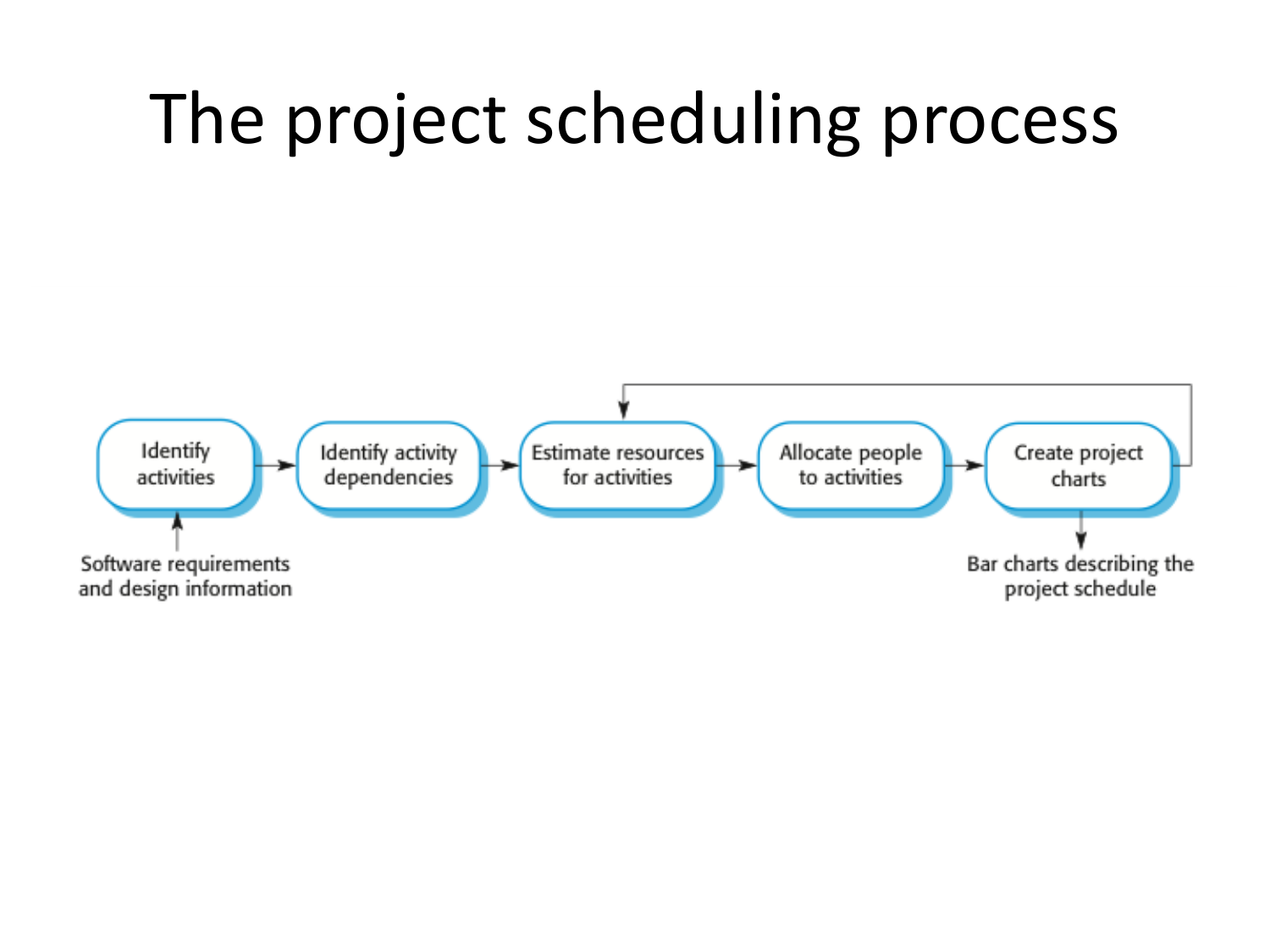## The project scheduling process

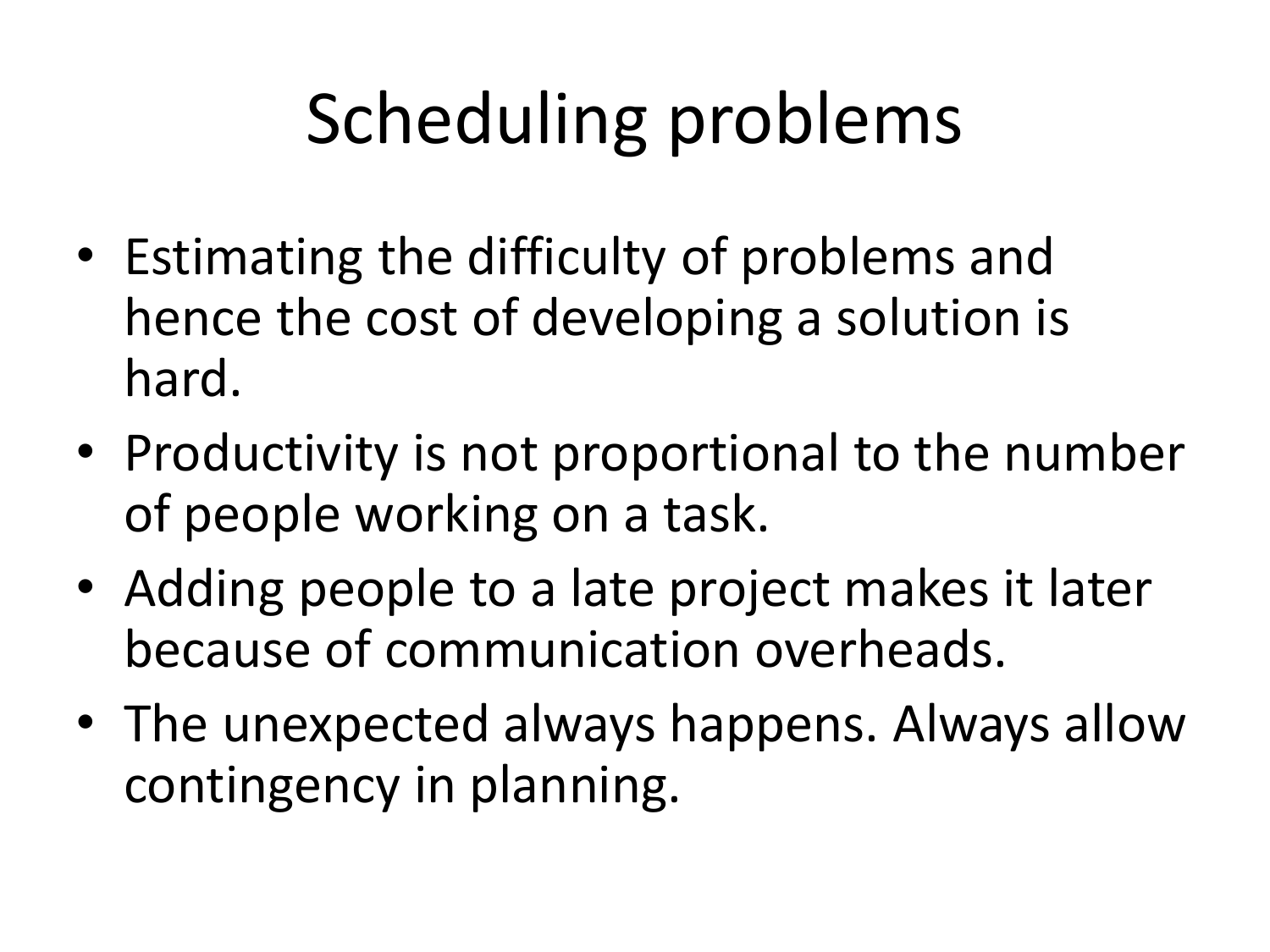# Scheduling problems

- Estimating the difficulty of problems and hence the cost of developing a solution is hard.
- Productivity is not proportional to the number of people working on a task.
- Adding people to a late project makes it later because of communication overheads.
- The unexpected always happens. Always allow contingency in planning.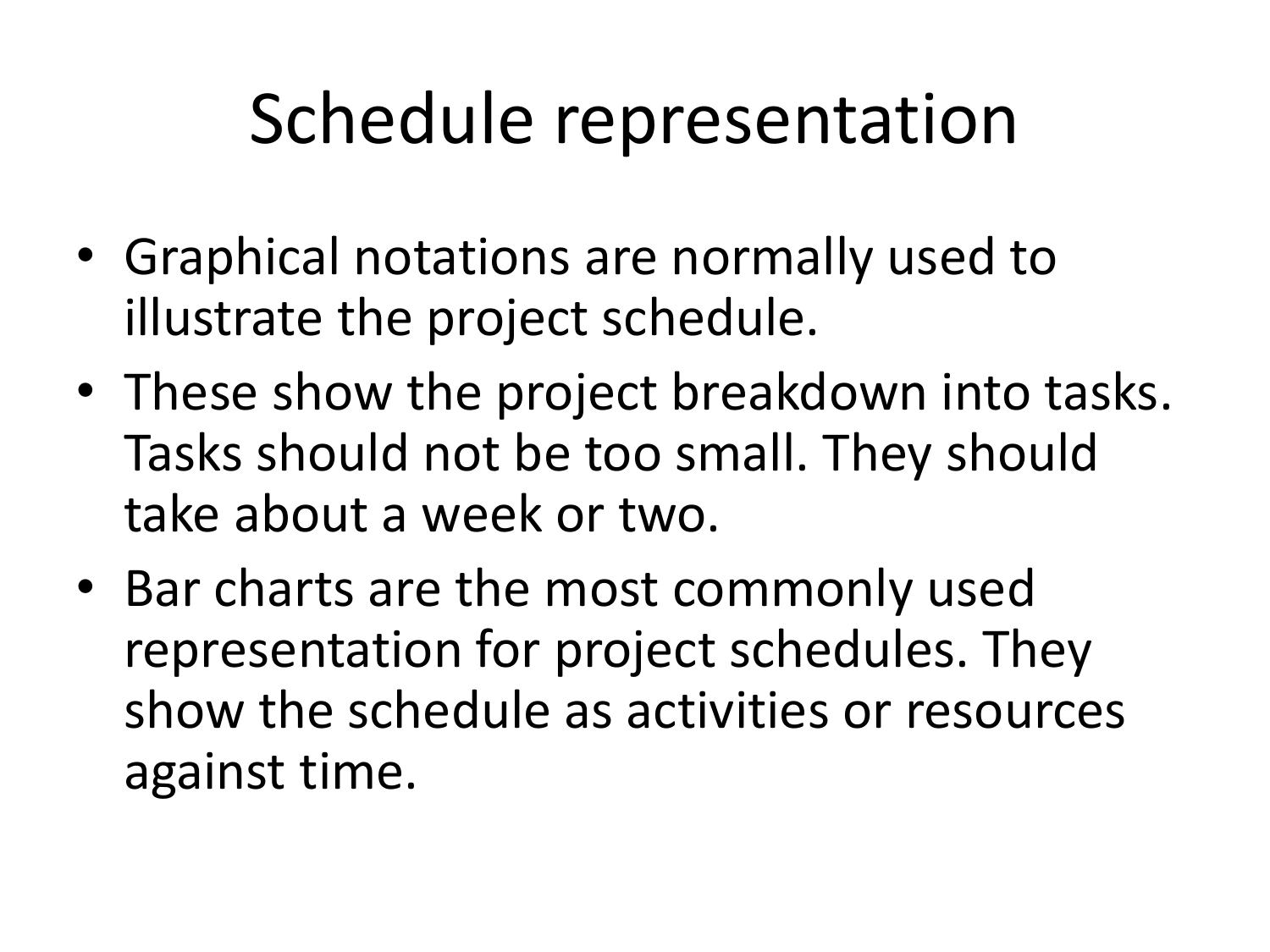## Schedule representation

- Graphical notations are normally used to illustrate the project schedule.
- These show the project breakdown into tasks. Tasks should not be too small. They should take about a week or two.
- Bar charts are the most commonly used representation for project schedules. They show the schedule as activities or resources against time.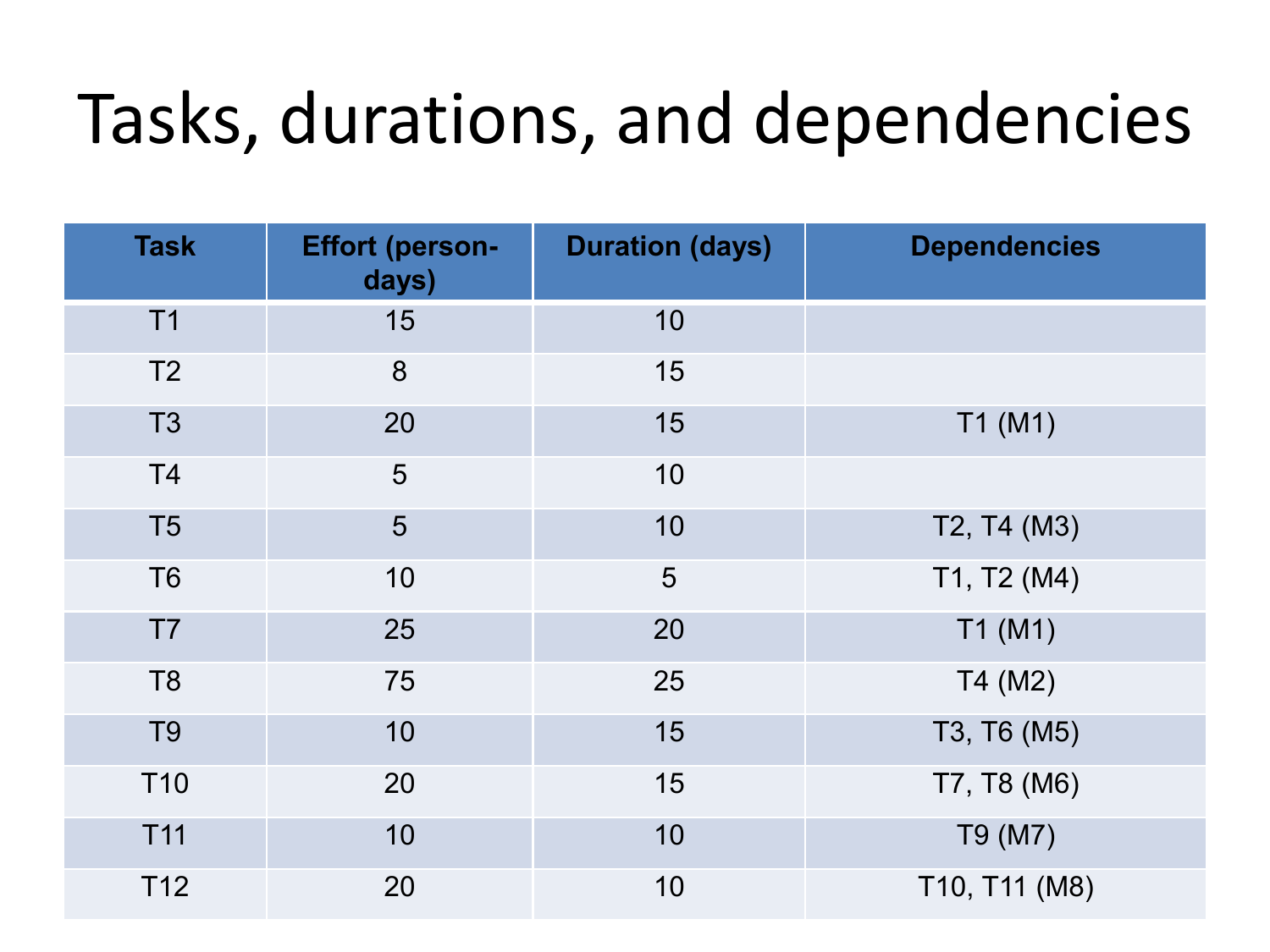#### Tasks, durations, and dependencies

| <b>Task</b>     | <b>Effort (person-</b><br>days) | <b>Duration (days)</b> | <b>Dependencies</b> |
|-----------------|---------------------------------|------------------------|---------------------|
| T1              | 15                              | 10                     |                     |
| T <sub>2</sub>  | 8                               | 15                     |                     |
| T <sub>3</sub>  | 20                              | 15                     | T1(M1)              |
| T <sub>4</sub>  | 5                               | 10                     |                     |
| T <sub>5</sub>  | 5                               | 10                     | T2, T4 (M3)         |
| T <sub>6</sub>  | 10                              | 5                      | T1, T2 (M4)         |
| T7              | 25                              | 20                     | T1(M1)              |
| T <sub>8</sub>  | 75                              | 25                     | T4 (M2)             |
| T <sub>9</sub>  | 10                              | 15                     | T3, T6 (M5)         |
| T <sub>10</sub> | 20                              | 15                     | T7, T8 (M6)         |
| T11             | 10                              | 10                     | T9 (M7)             |
| T12             | 20                              | 10                     | T10, T11 (M8)       |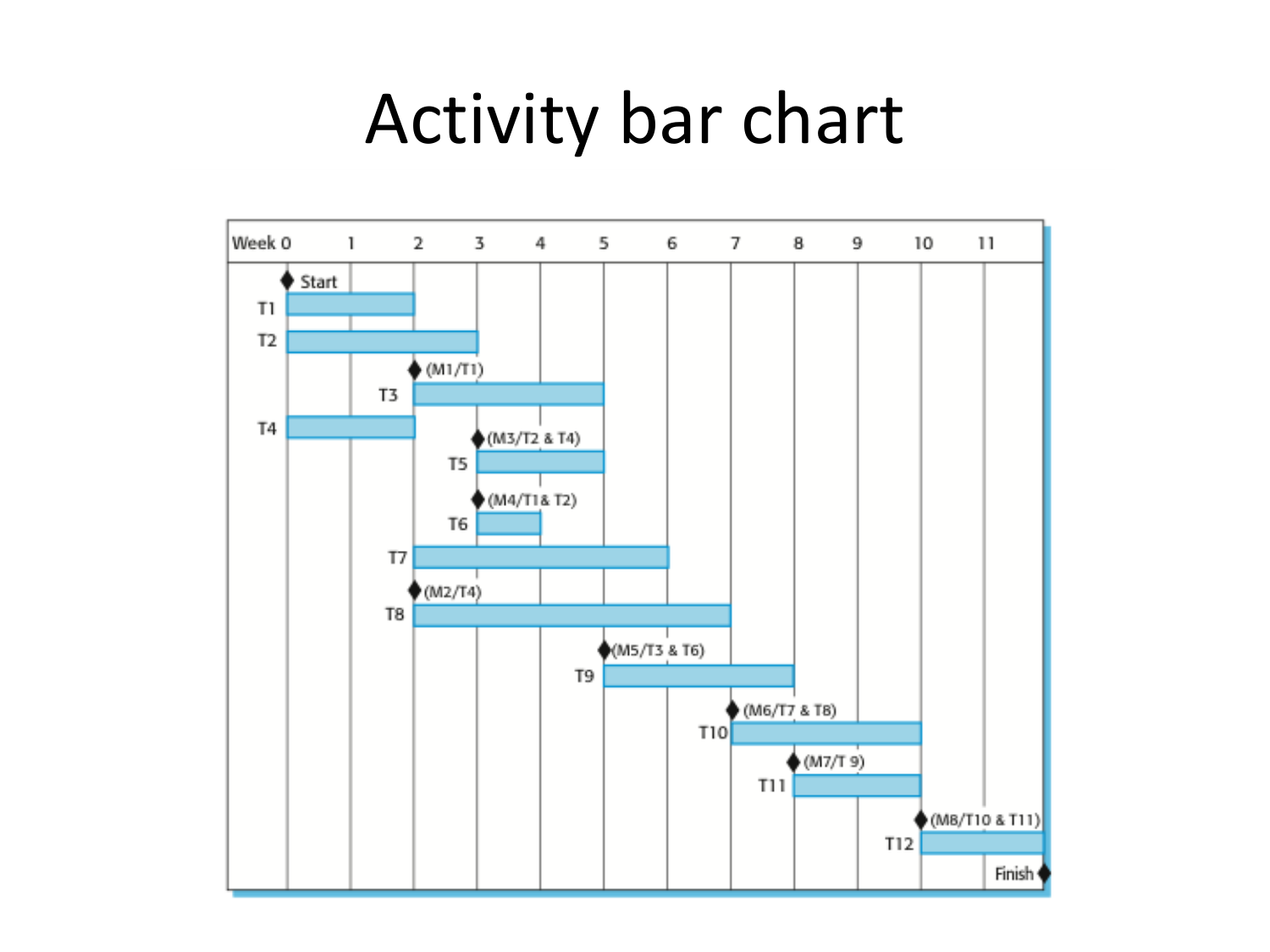#### Activity bar chart

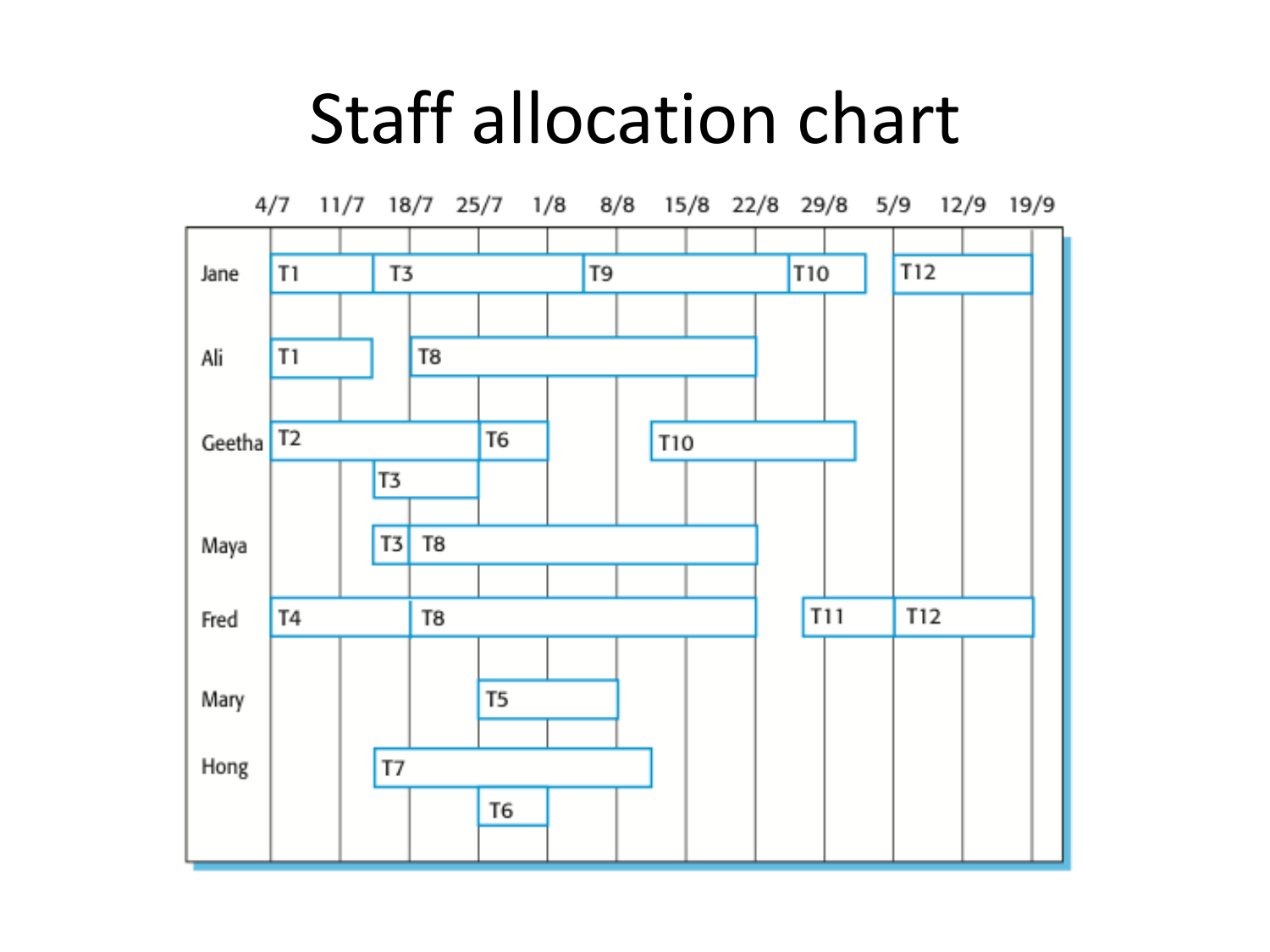#### Staff allocation chart

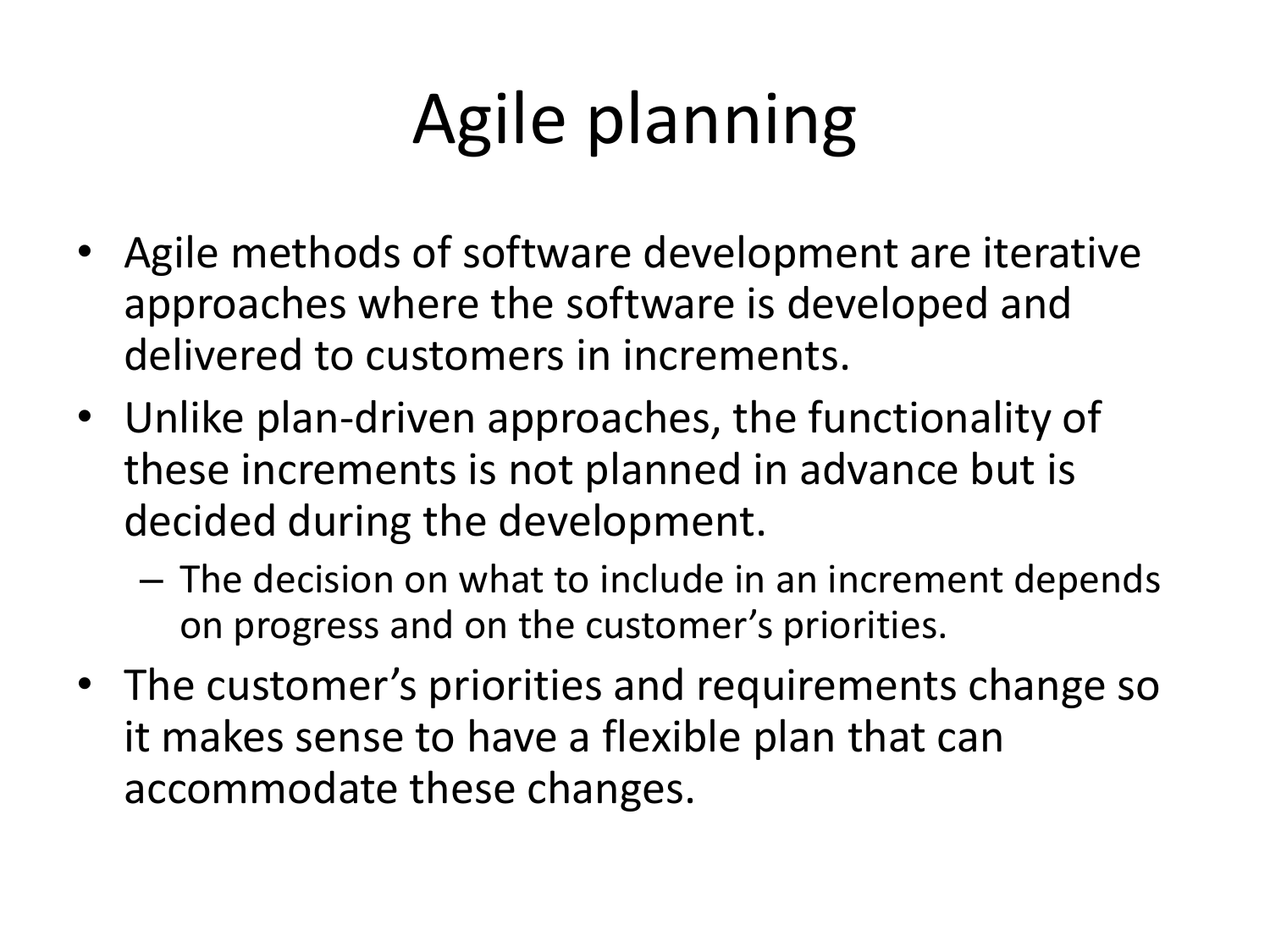# Agile planning

- Agile methods of software development are iterative approaches where the software is developed and delivered to customers in increments.
- Unlike plan-driven approaches, the functionality of these increments is not planned in advance but is decided during the development.
	- The decision on what to include in an increment depends on progress and on the customer's priorities.
- The customer's priorities and requirements change so it makes sense to have a flexible plan that can accommodate these changes.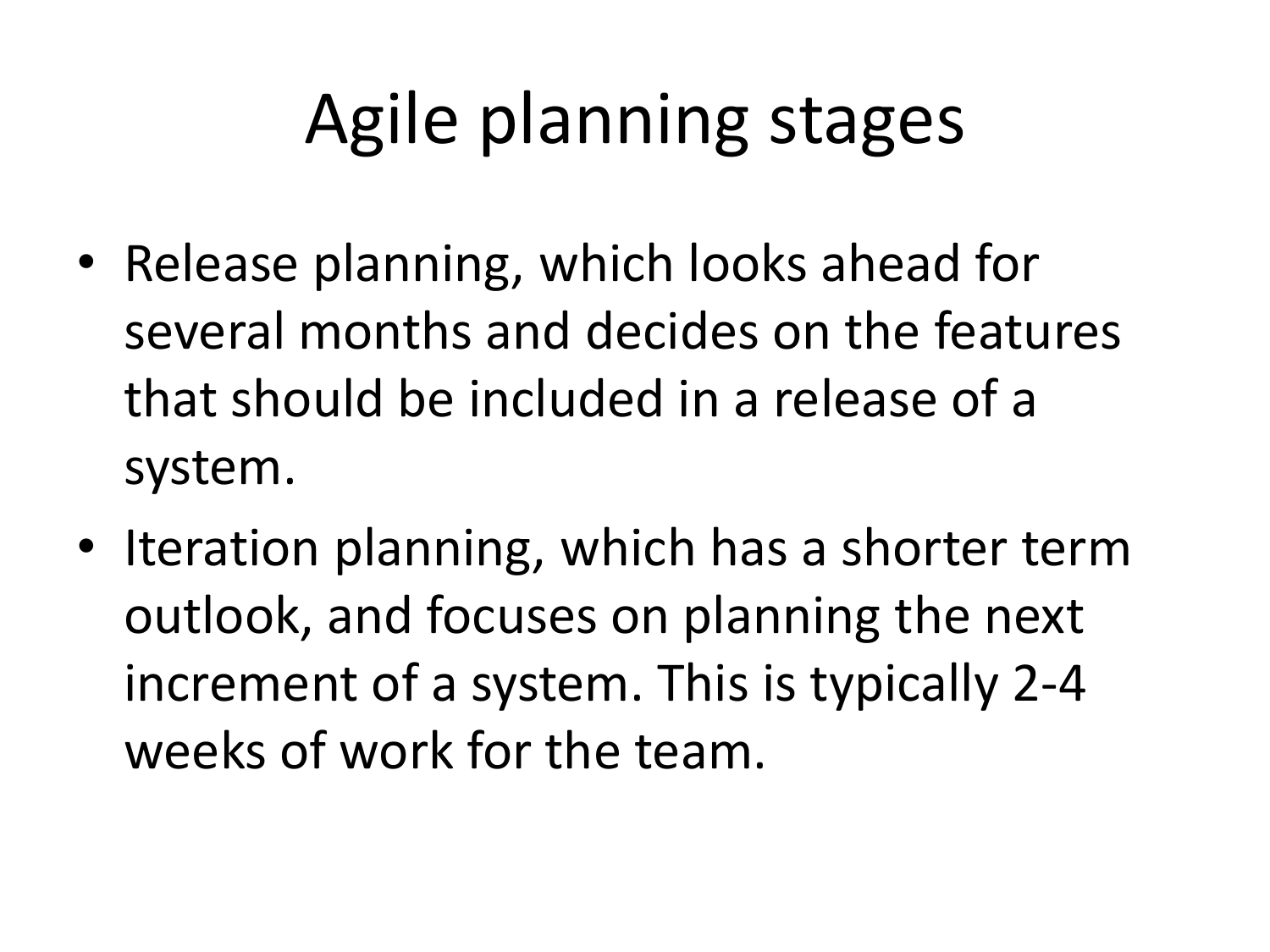## Agile planning stages

- Release planning, which looks ahead for several months and decides on the features that should be included in a release of a system.
- Iteration planning, which has a shorter term outlook, and focuses on planning the next increment of a system. This is typically 2-4 weeks of work for the team.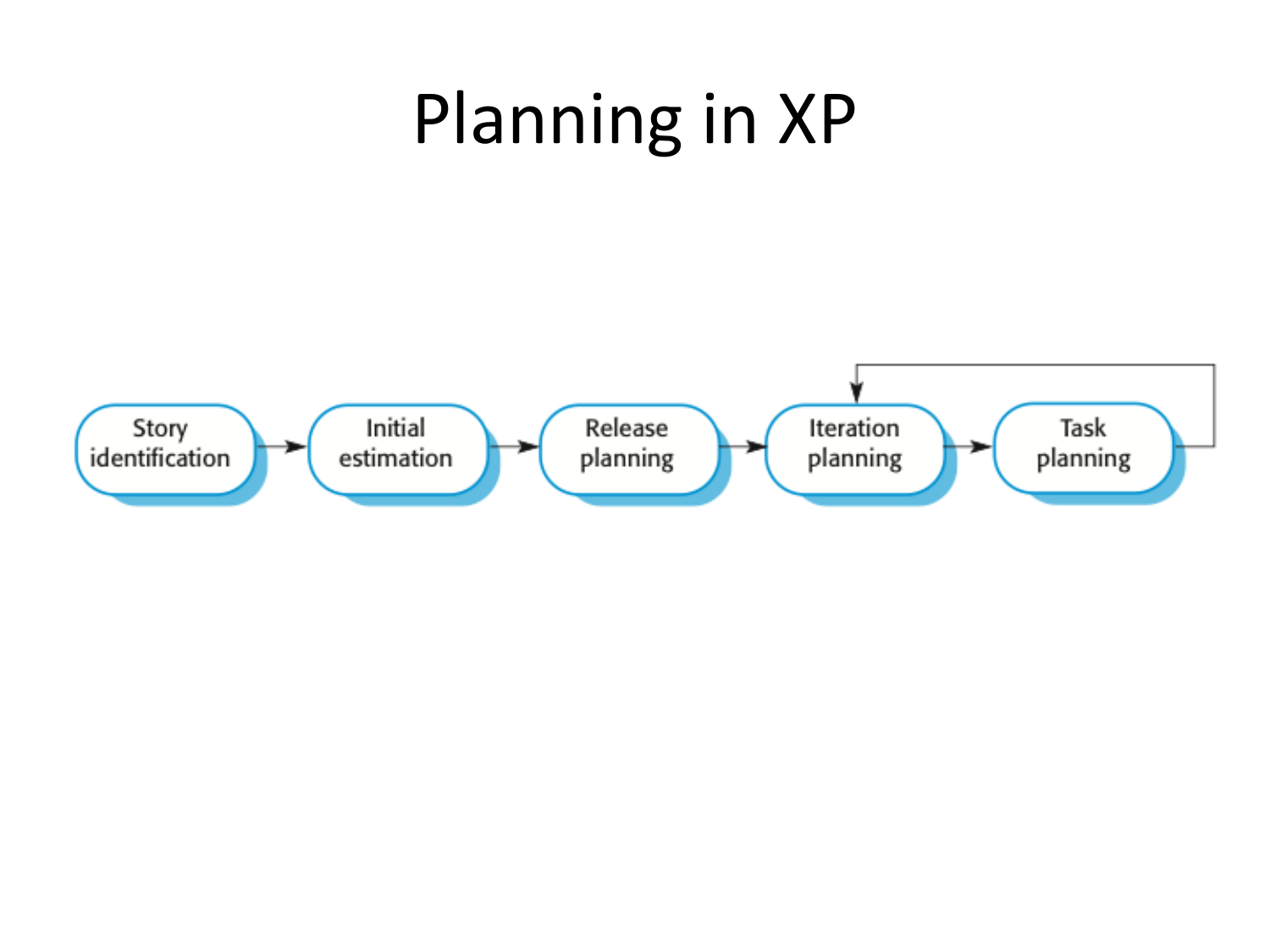#### Planning in XP

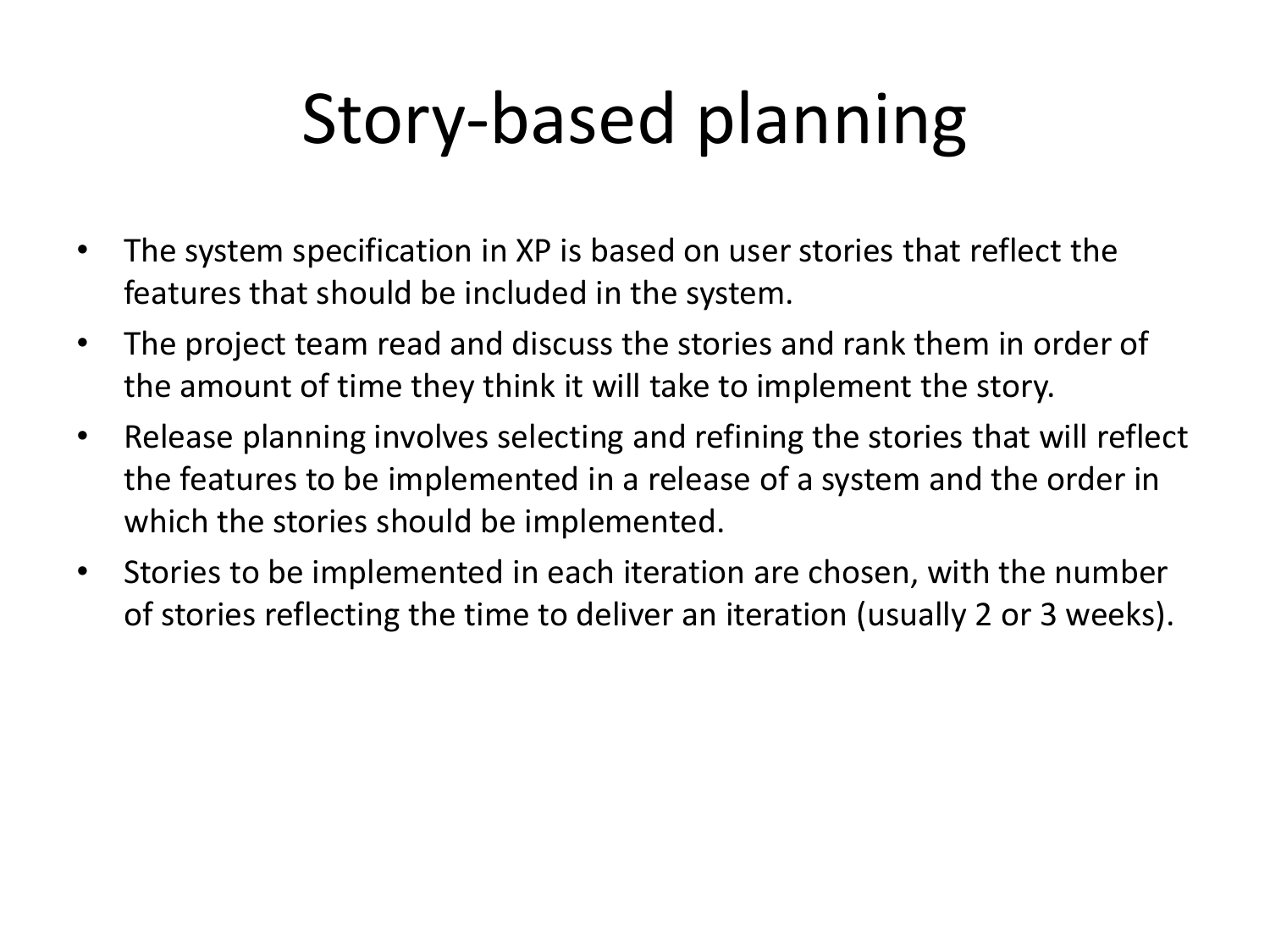## Story-based planning

- The system specification in XP is based on user stories that reflect the features that should be included in the system.
- The project team read and discuss the stories and rank them in order of the amount of time they think it will take to implement the story.
- Release planning involves selecting and refining the stories that will reflect the features to be implemented in a release of a system and the order in which the stories should be implemented.
- Stories to be implemented in each iteration are chosen, with the number of stories reflecting the time to deliver an iteration (usually 2 or 3 weeks).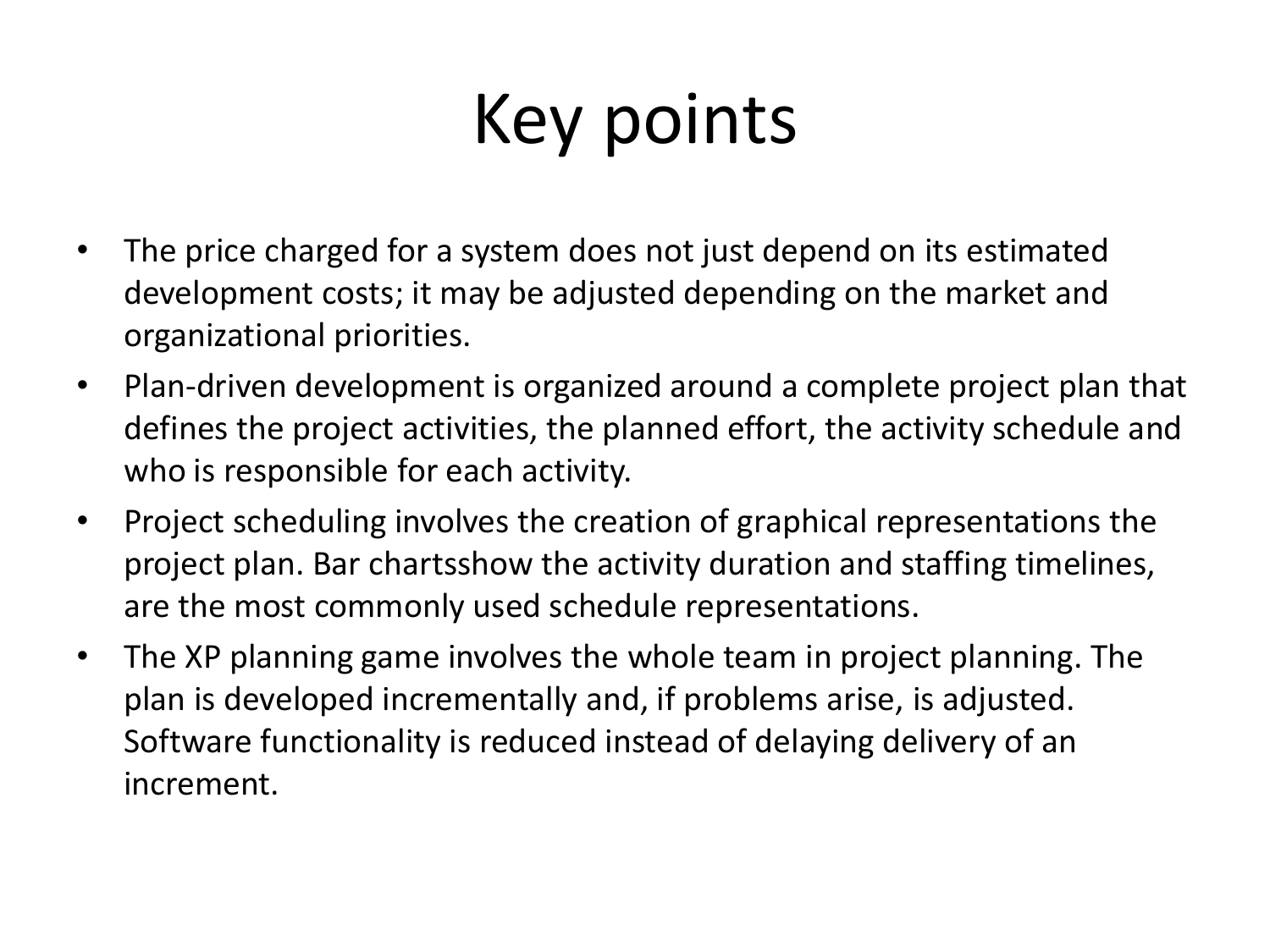## Key points

- The price charged for a system does not just depend on its estimated development costs; it may be adjusted depending on the market and organizational priorities.
- Plan-driven development is organized around a complete project plan that defines the project activities, the planned effort, the activity schedule and who is responsible for each activity.
- Project scheduling involves the creation of graphical representations the project plan. Bar chartsshow the activity duration and staffing timelines, are the most commonly used schedule representations.
- The XP planning game involves the whole team in project planning. The plan is developed incrementally and, if problems arise, is adjusted. Software functionality is reduced instead of delaying delivery of an increment.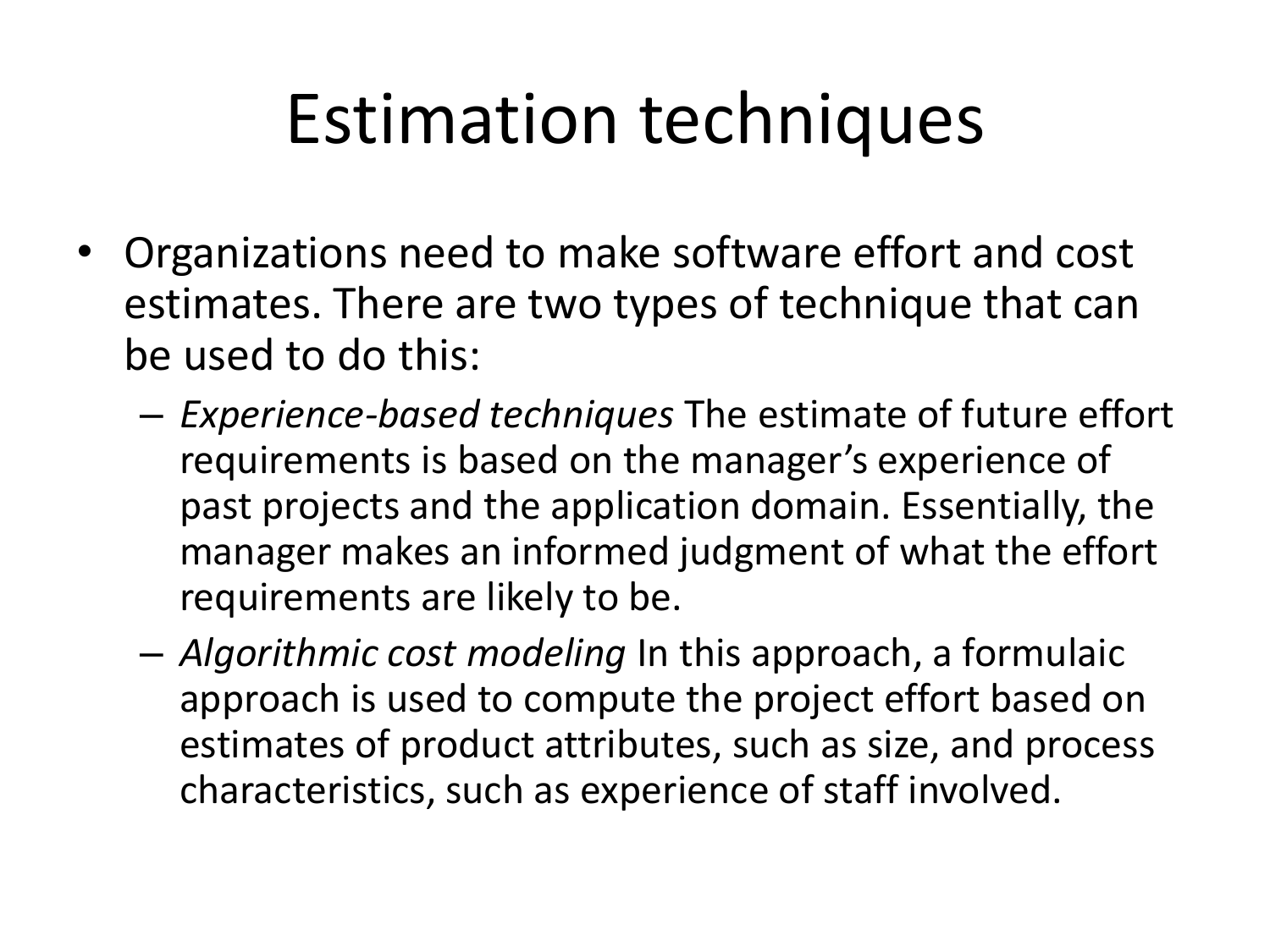### Estimation techniques

- Organizations need to make software effort and cost estimates. There are two types of technique that can be used to do this:
	- *Experience-based techniques* The estimate of future effort requirements is based on the manager's experience of past projects and the application domain. Essentially, the manager makes an informed judgment of what the effort requirements are likely to be.
	- *Algorithmic cost modeling* In this approach, a formulaic approach is used to compute the project effort based on estimates of product attributes, such as size, and process characteristics, such as experience of staff involved.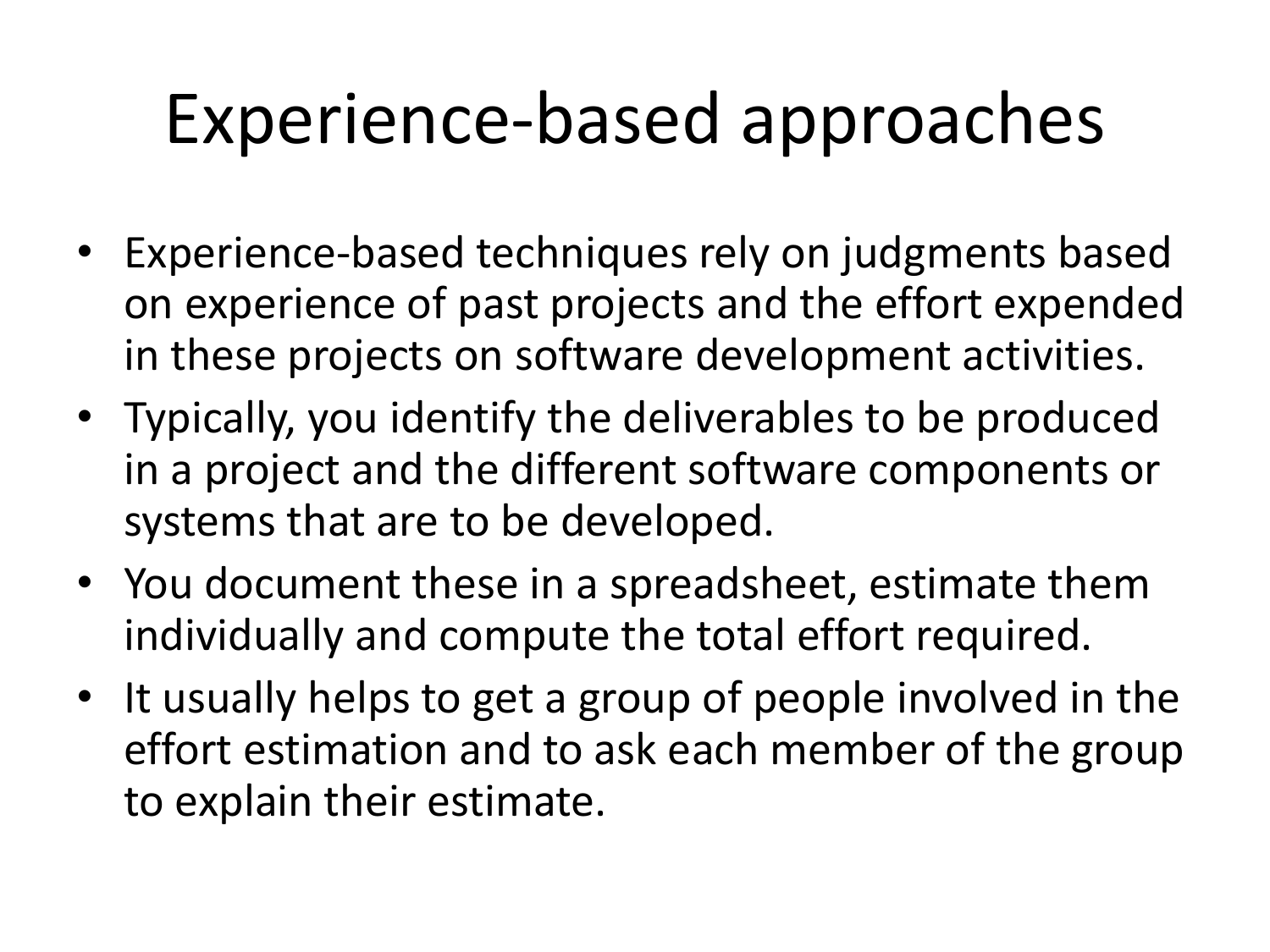## Experience-based approaches

- Experience-based techniques rely on judgments based on experience of past projects and the effort expended in these projects on software development activities.
- Typically, you identify the deliverables to be produced in a project and the different software components or systems that are to be developed.
- You document these in a spreadsheet, estimate them individually and compute the total effort required.
- It usually helps to get a group of people involved in the effort estimation and to ask each member of the group to explain their estimate.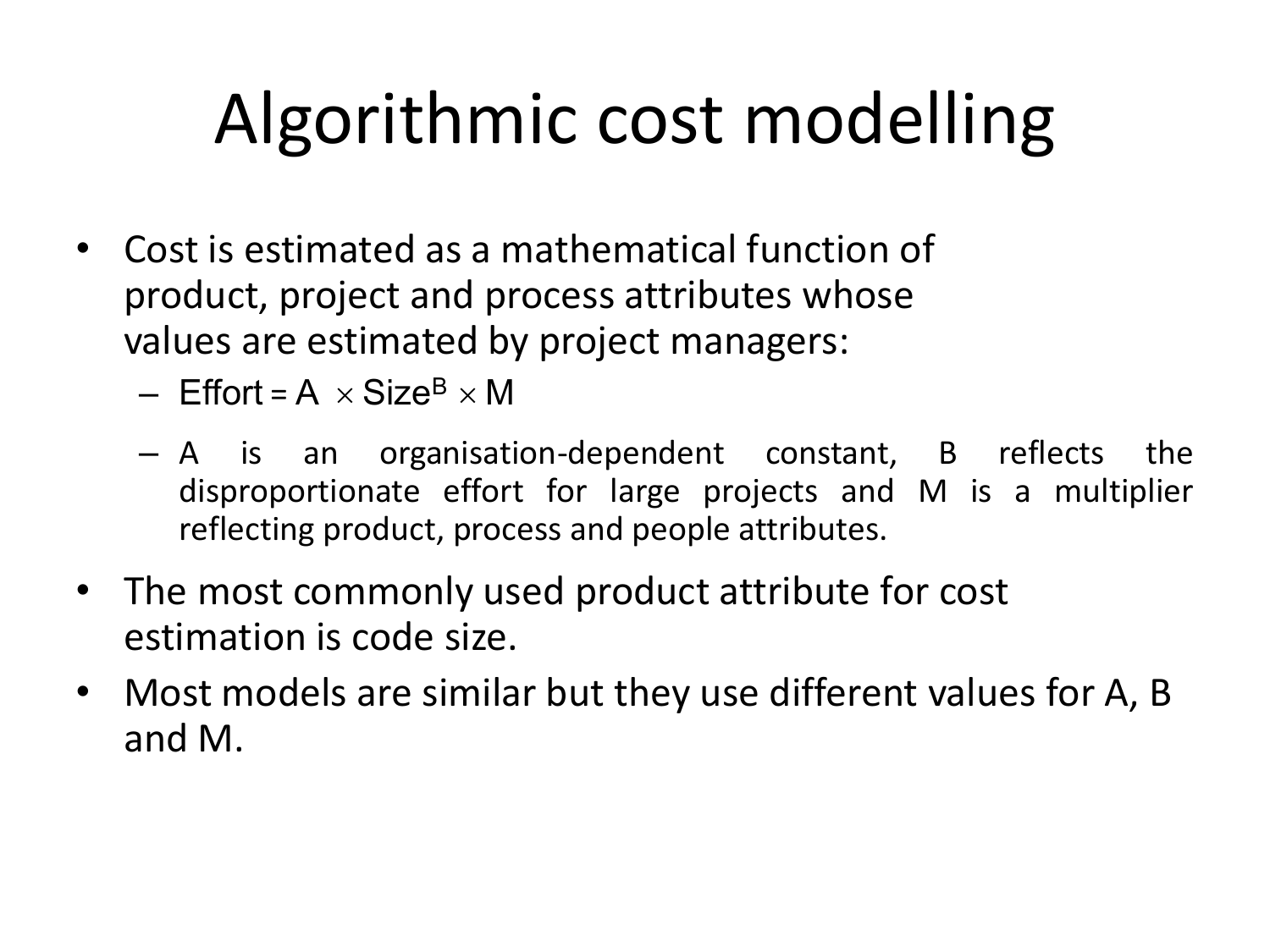## Algorithmic cost modelling

- Cost is estimated as a mathematical function of product, project and process attributes whose values are estimated by project managers:
	- $-$  Effort = A  $\times$  Size<sup>B</sup>  $\times$  M
	- A is an organisation-dependent constant, B reflects the disproportionate effort for large projects and M is a multiplier reflecting product, process and people attributes.
- The most commonly used product attribute for cost estimation is code size.
- Most models are similar but they use different values for A, B and M.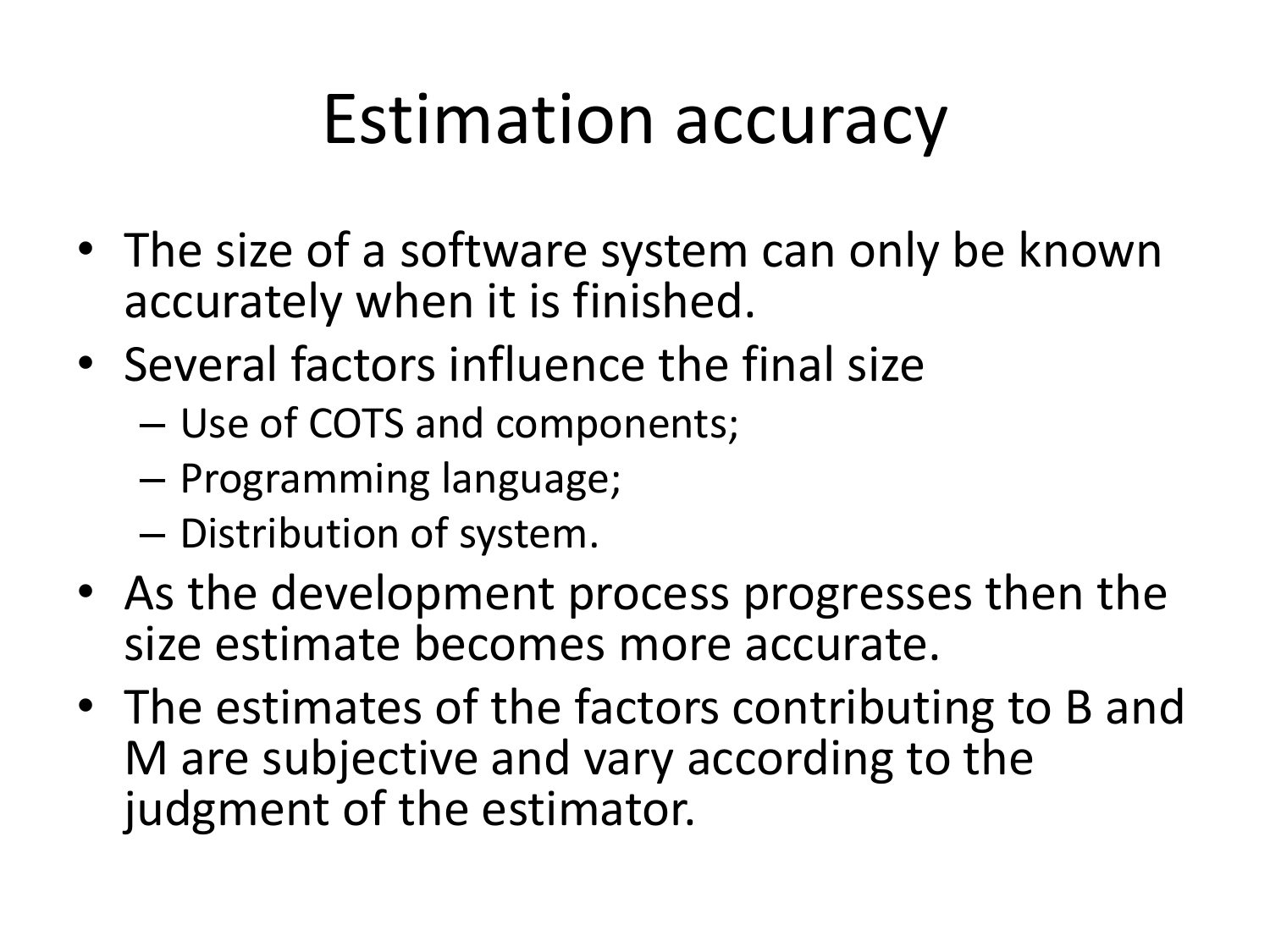### Estimation accuracy

- The size of a software system can only be known accurately when it is finished.
- Several factors influence the final size
	- Use of COTS and components;
	- Programming language;
	- Distribution of system.
- As the development process progresses then the size estimate becomes more accurate.
- The estimates of the factors contributing to B and M are subjective and vary according to the judgment of the estimator.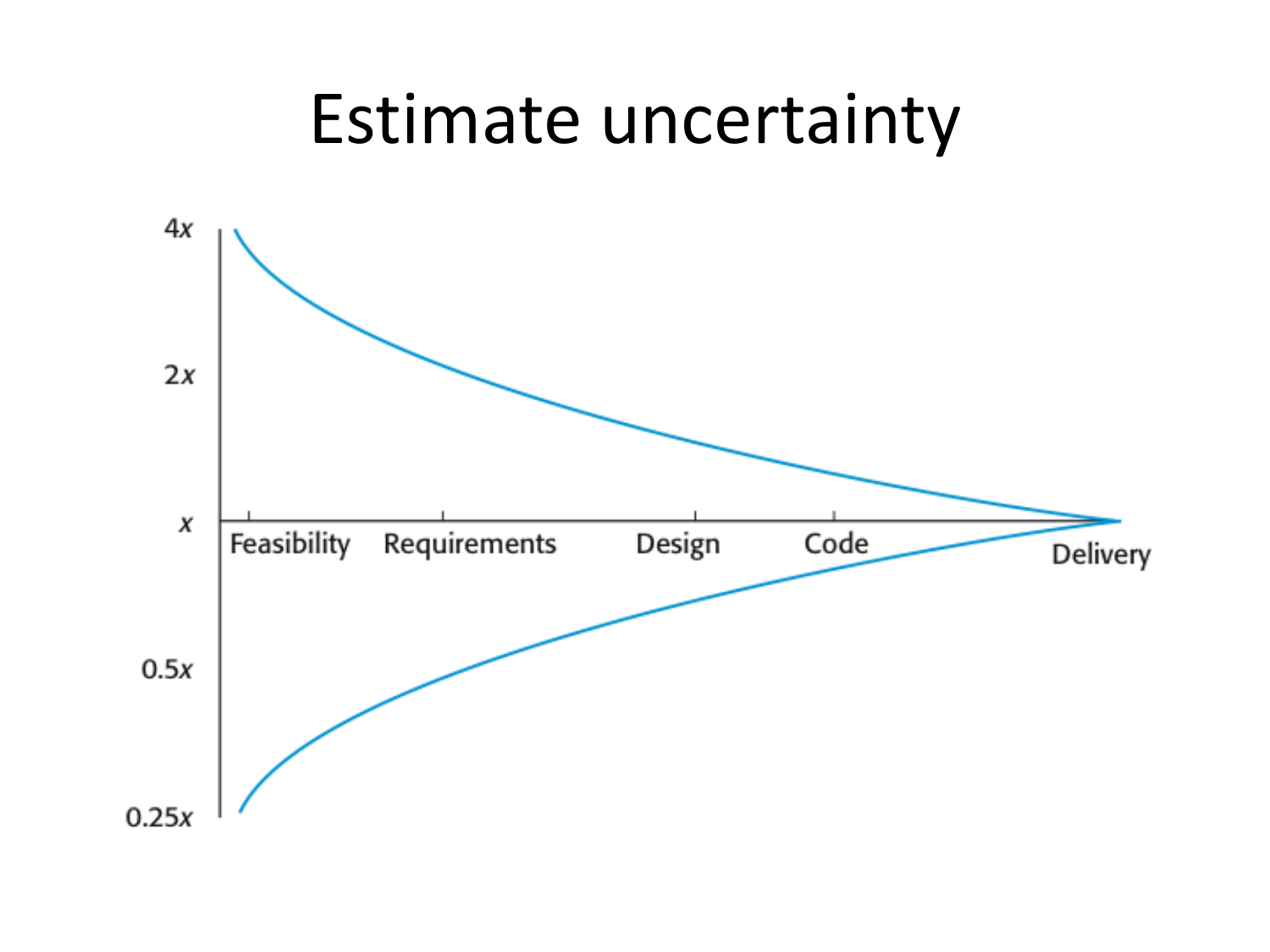#### Estimate uncertainty $4x$  $2x$ X Feasibility Requirements Code Design Delivery  $0.5x$  $0.25x$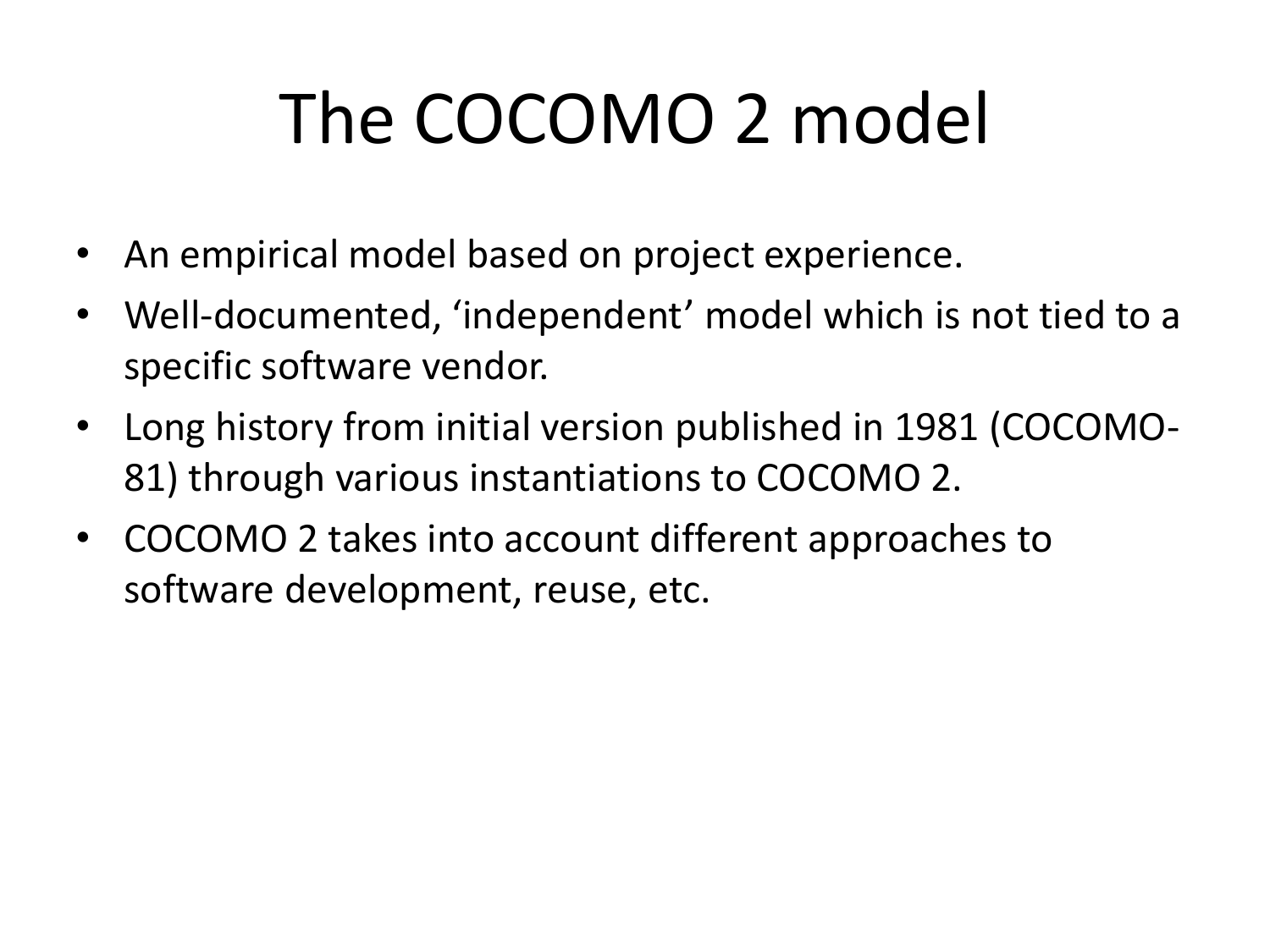## The COCOMO 2 model

- An empirical model based on project experience.
- Well-documented, 'independent' model which is not tied to a specific software vendor.
- Long history from initial version published in 1981 (COCOMO-81) through various instantiations to COCOMO 2.
- COCOMO 2 takes into account different approaches to software development, reuse, etc.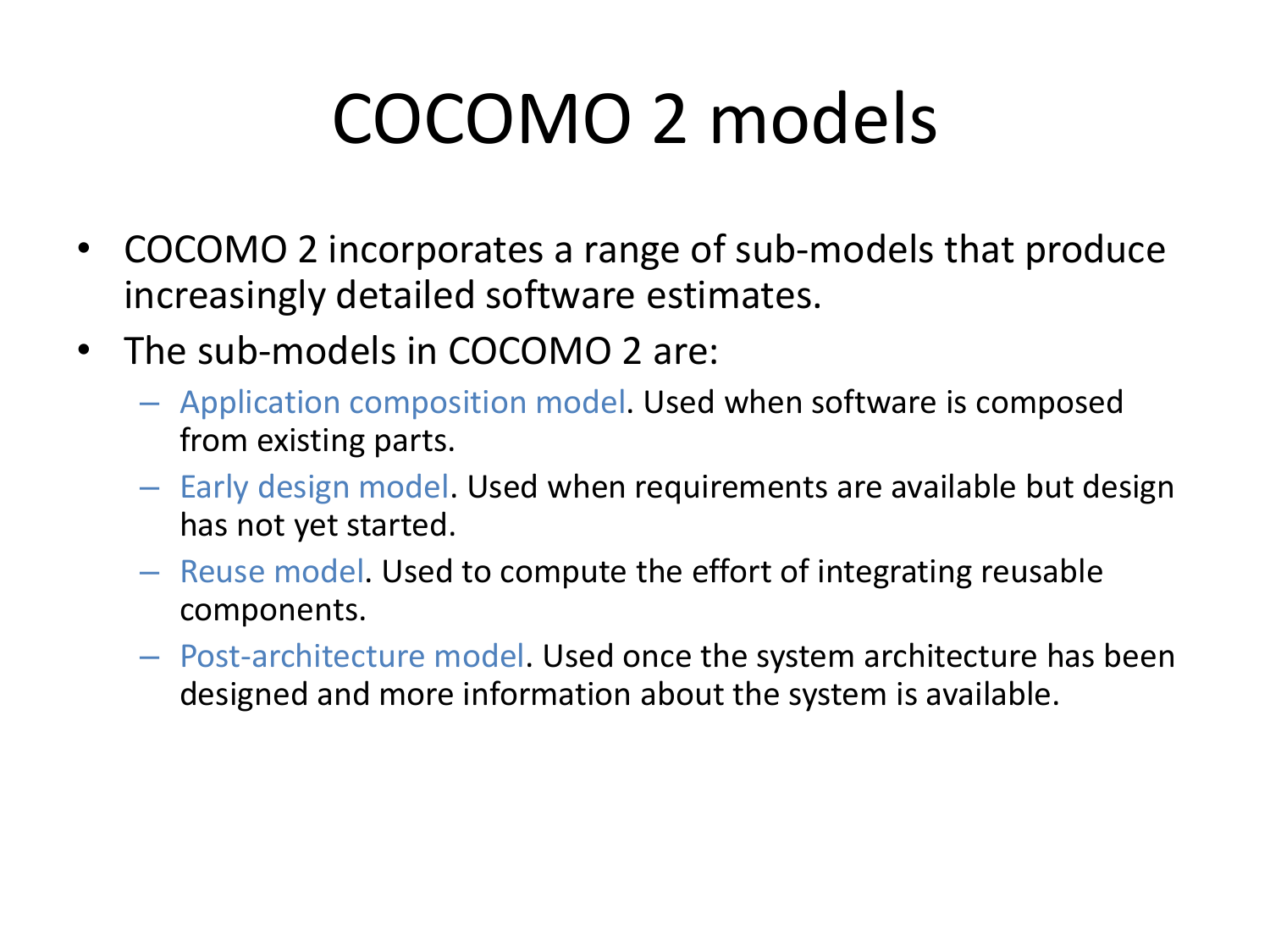## COCOMO 2 models

- COCOMO 2 incorporates a range of sub-models that produce increasingly detailed software estimates.
- The sub-models in COCOMO 2 are:
	- Application composition model. Used when software is composed from existing parts.
	- Early design model. Used when requirements are available but design has not yet started.
	- Reuse model. Used to compute the effort of integrating reusable components.
	- Post-architecture model. Used once the system architecture has been designed and more information about the system is available.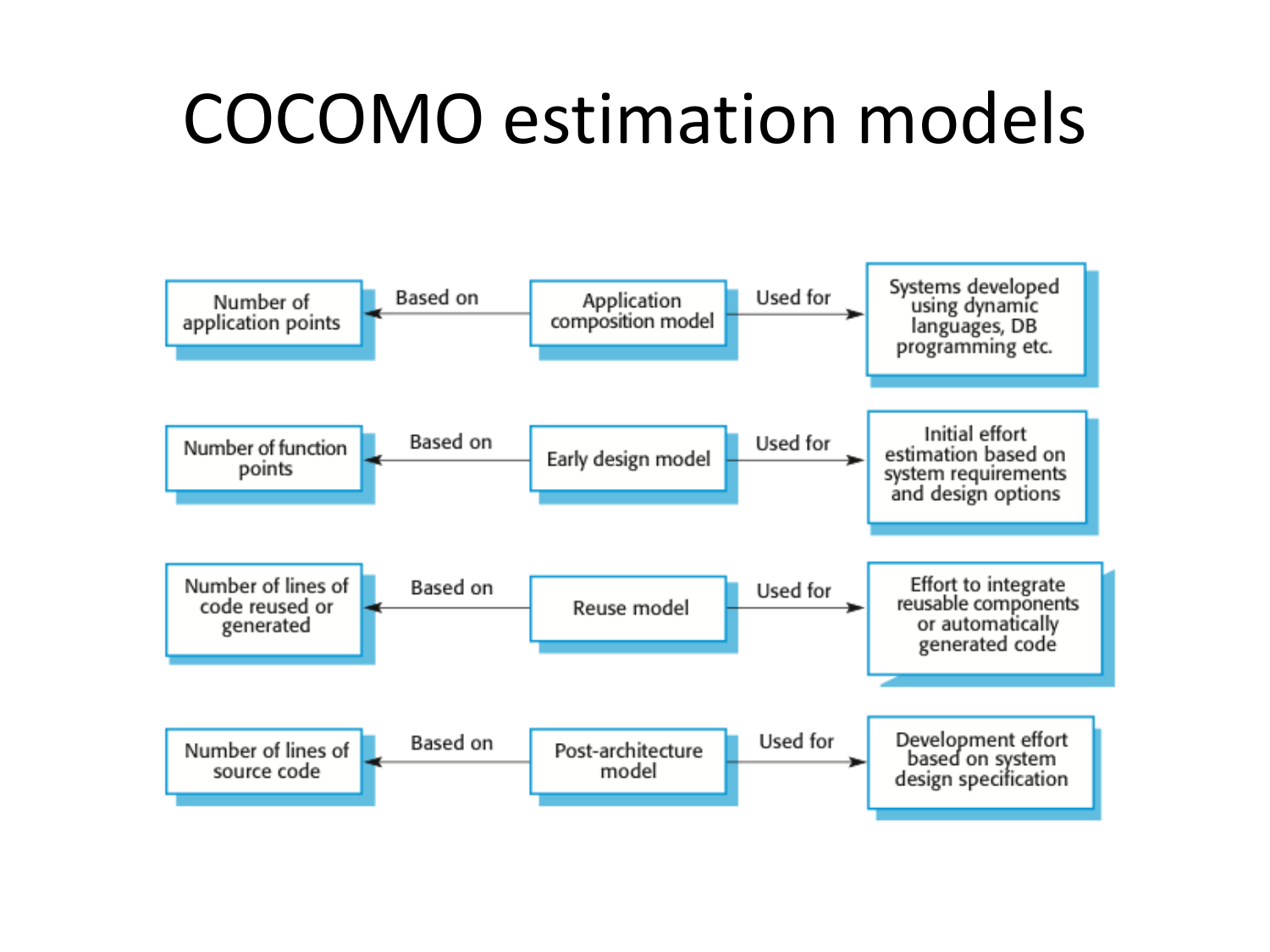#### COCOMO estimation models

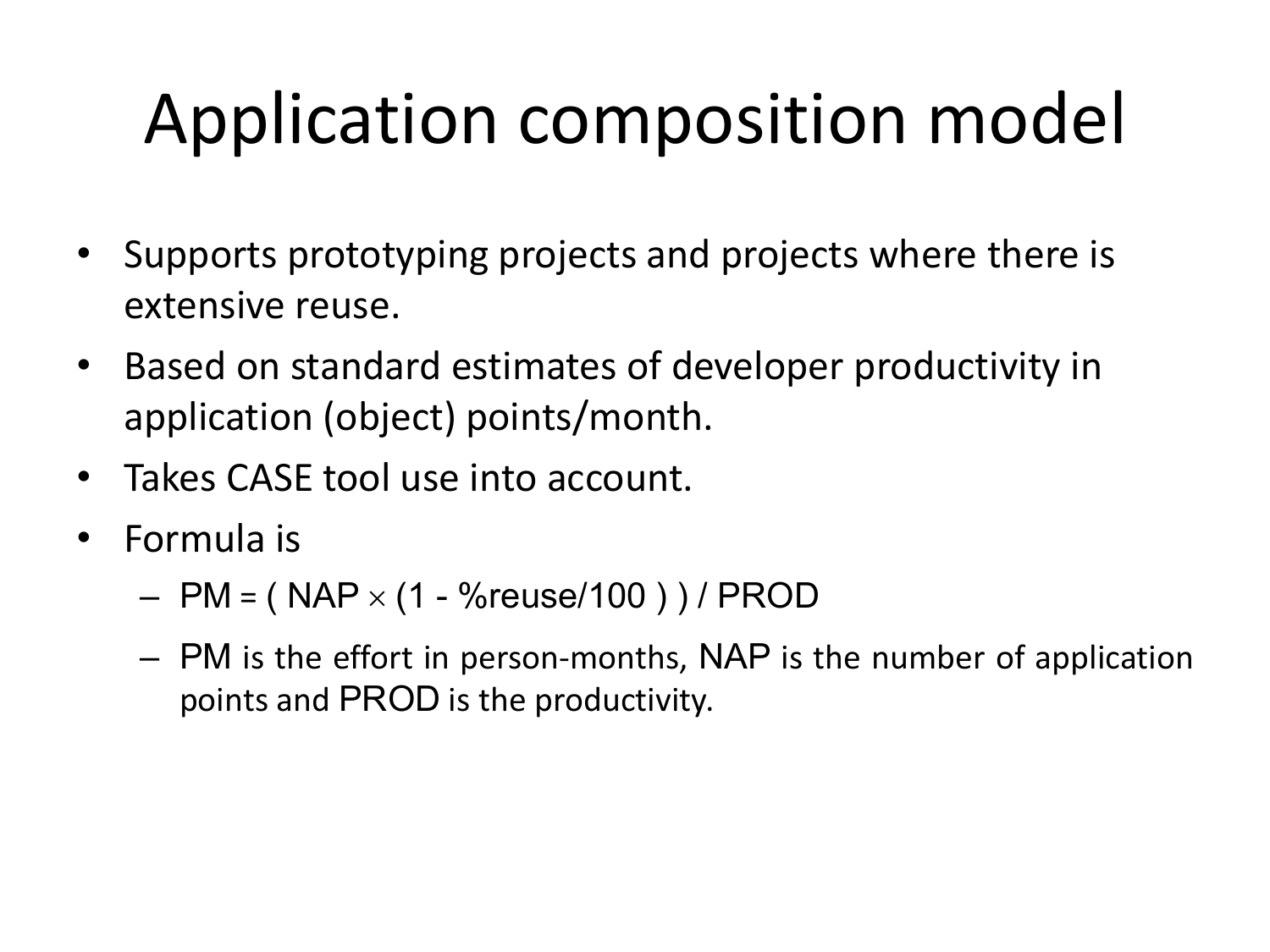## Application composition model

- Supports prototyping projects and projects where there is extensive reuse.
- Based on standard estimates of developer productivity in application (object) points/month.
- Takes CASE tool use into account.
- Formula is
	- $-$  PM = (NAP  $\times$  (1 %reuse/100 )) / PROD
	- PM is the effort in person-months, NAP is the number of application points and PROD is the productivity.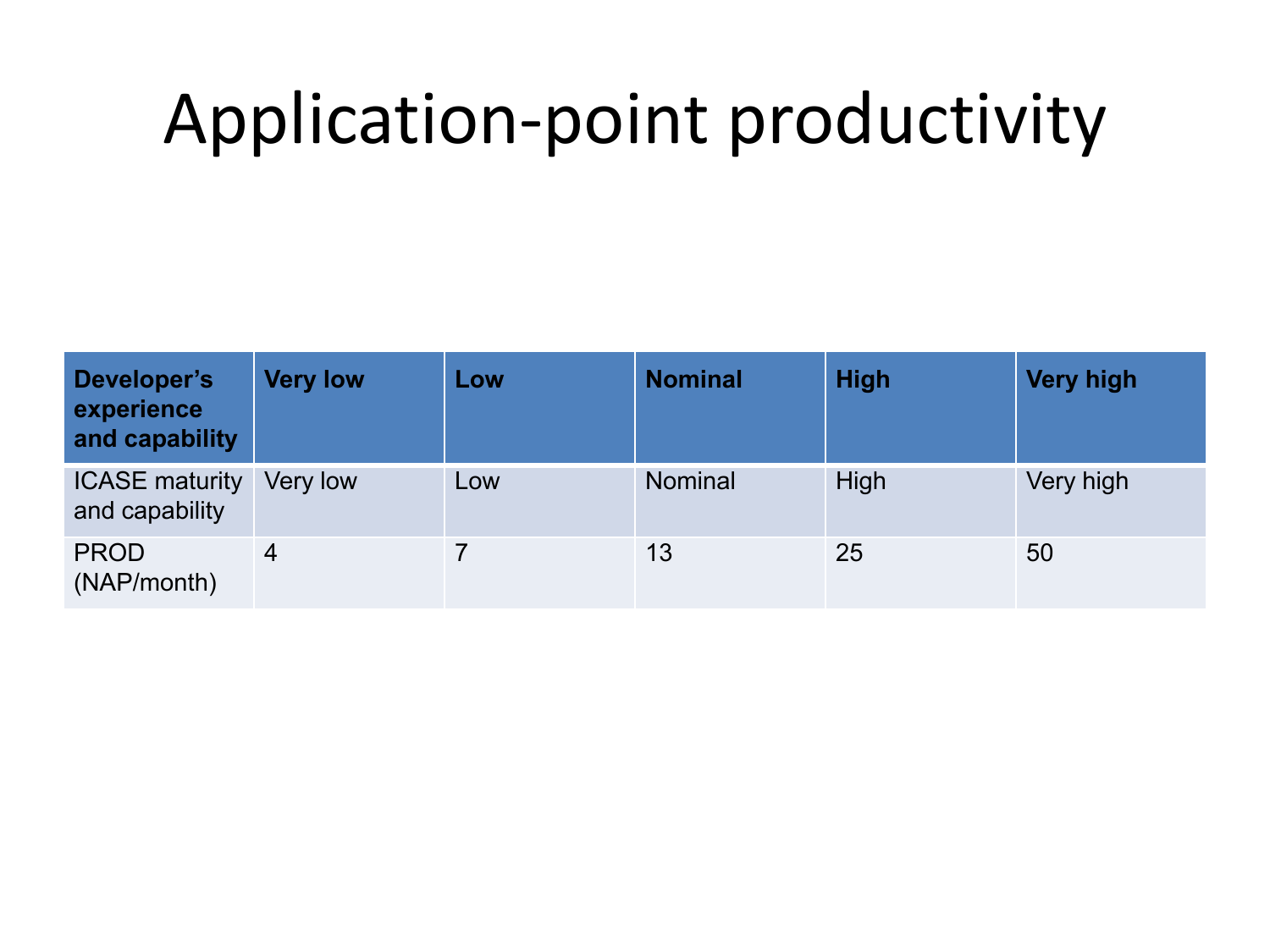## Application-point productivity

| Developer's<br>experience<br>and capability | <b>Very low</b> | Low | <b>Nominal</b> | <b>High</b> | <b>Very high</b> |
|---------------------------------------------|-----------------|-----|----------------|-------------|------------------|
| <b>ICASE maturity</b><br>and capability     | Very low        | Low | <b>Nominal</b> | High        | Very high        |
| <b>PROD</b><br>(NAP/month)                  | 4               |     | 13             | 25          | 50               |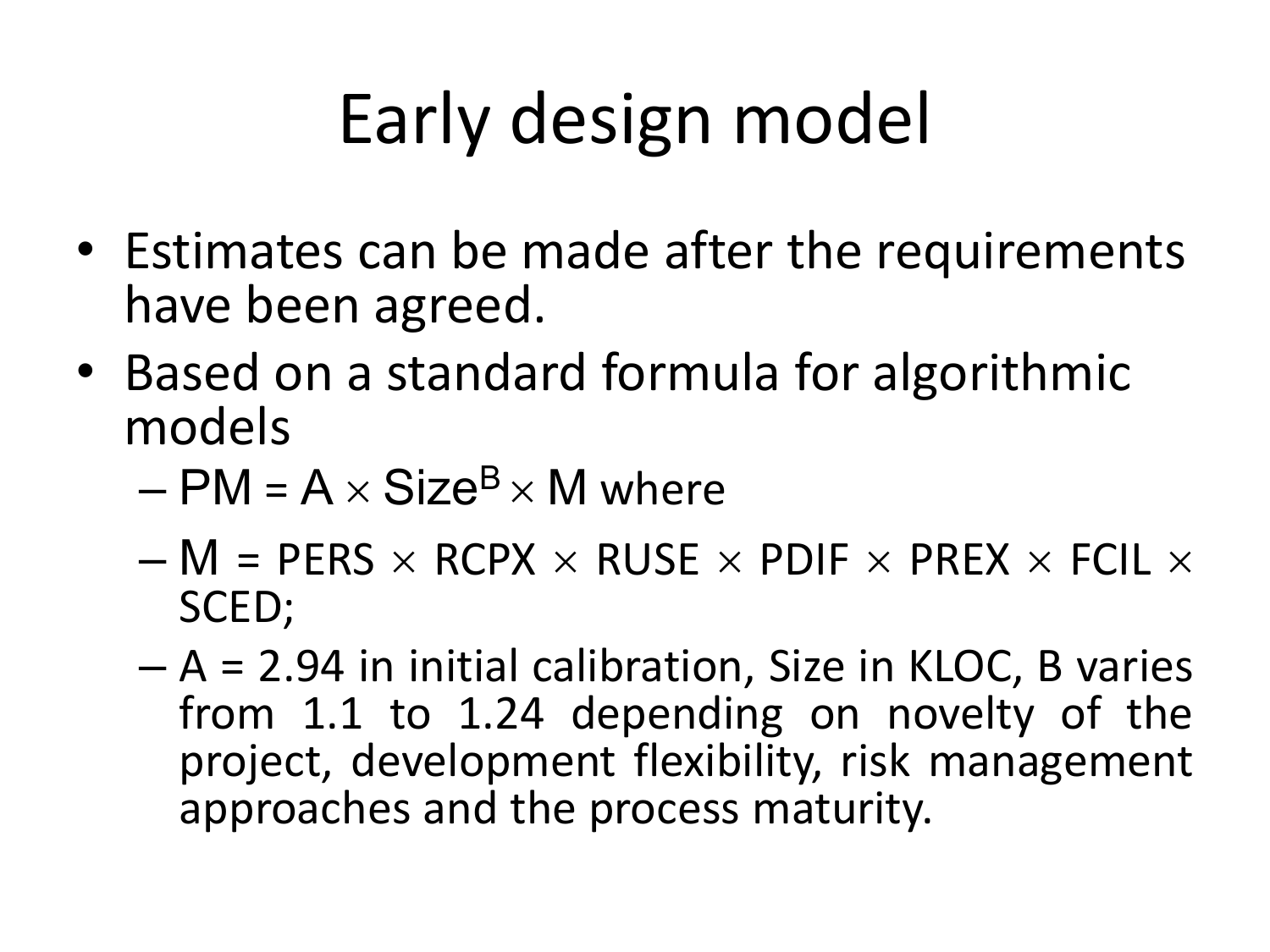# Early design model

- Estimates can be made after the requirements have been agreed.
- Based on a standard formula for algorithmic models
	- $-$  PM = A  $\times$  Size<sup>B</sup>  $\times$  M where
	- $-$  M = PERS  $\times$  RCPX  $\times$  RUSE  $\times$  PDIF  $\times$  PREX  $\times$  FCIL  $\times$ SCED;
	- A = 2.94 in initial calibration, Size in KLOC, B varies from 1.1 to 1.24 depending on novelty of the project, development flexibility, risk management approaches and the process maturity.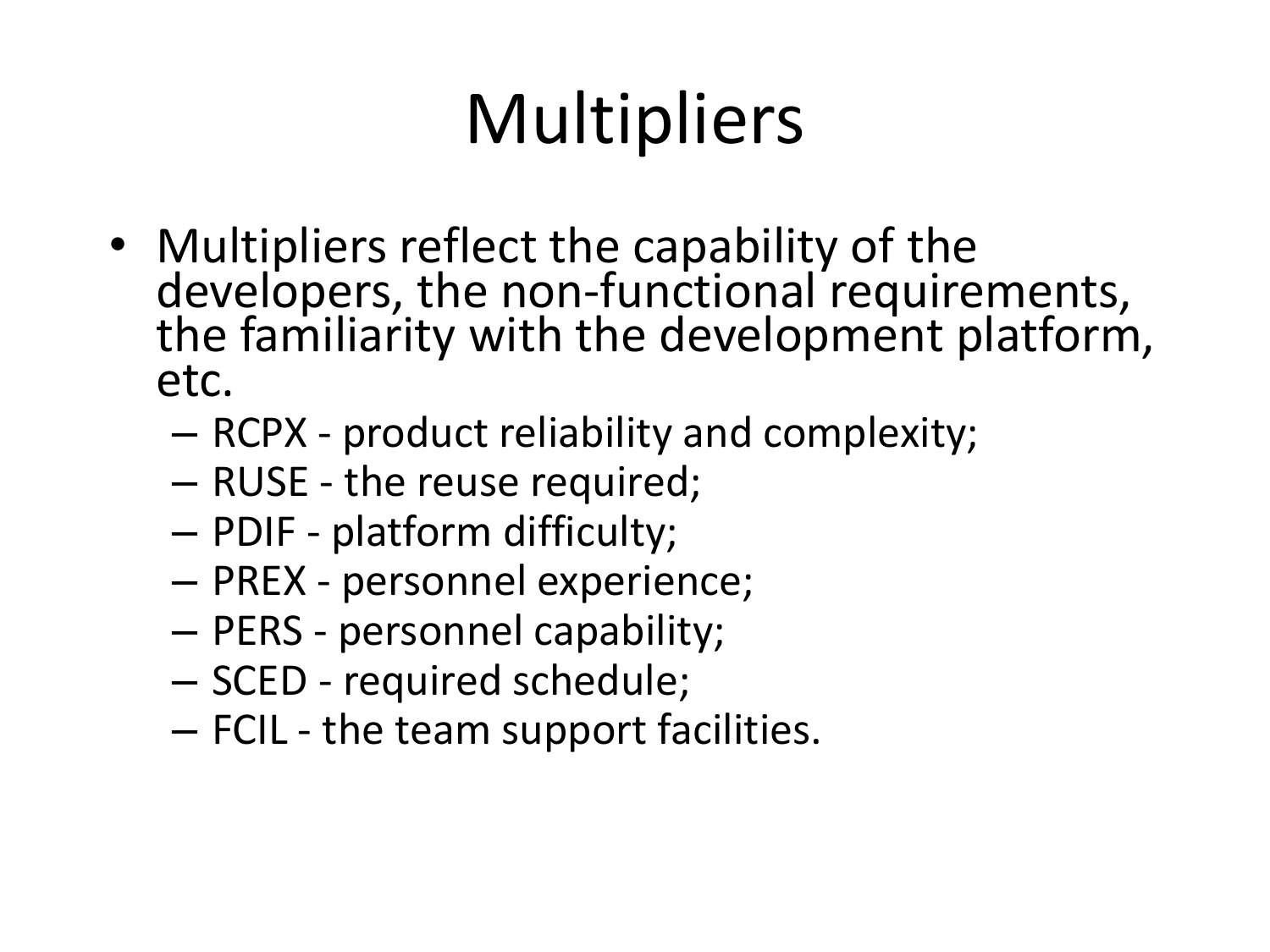## **Multipliers**

- Multipliers reflect the capability of the developers, the non-functional requirements, the familiarity with the development platform, etc.
	- RCPX product reliability and complexity;
	- RUSE the reuse required;
	- PDIF platform difficulty;
	- PREX personnel experience;
	- PERS personnel capability;
	- SCED required schedule;
	- FCIL the team support facilities.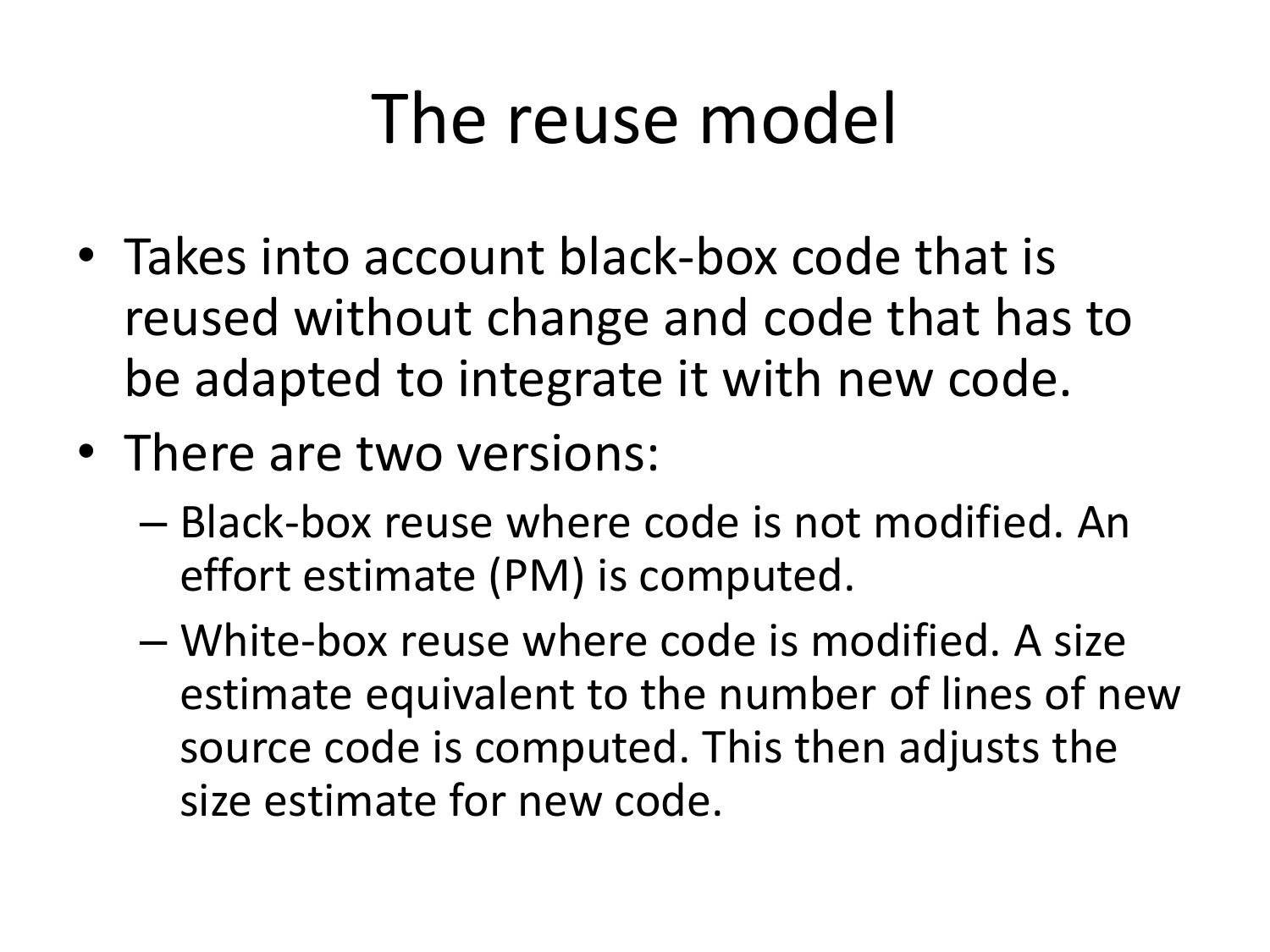#### The reuse model

- Takes into account black-box code that is reused without change and code that has to be adapted to integrate it with new code.
- There are two versions:
	- Black-box reuse where code is not modified. An effort estimate (PM) is computed.
	- White-box reuse where code is modified. A size estimate equivalent to the number of lines of new source code is computed. This then adjusts the size estimate for new code.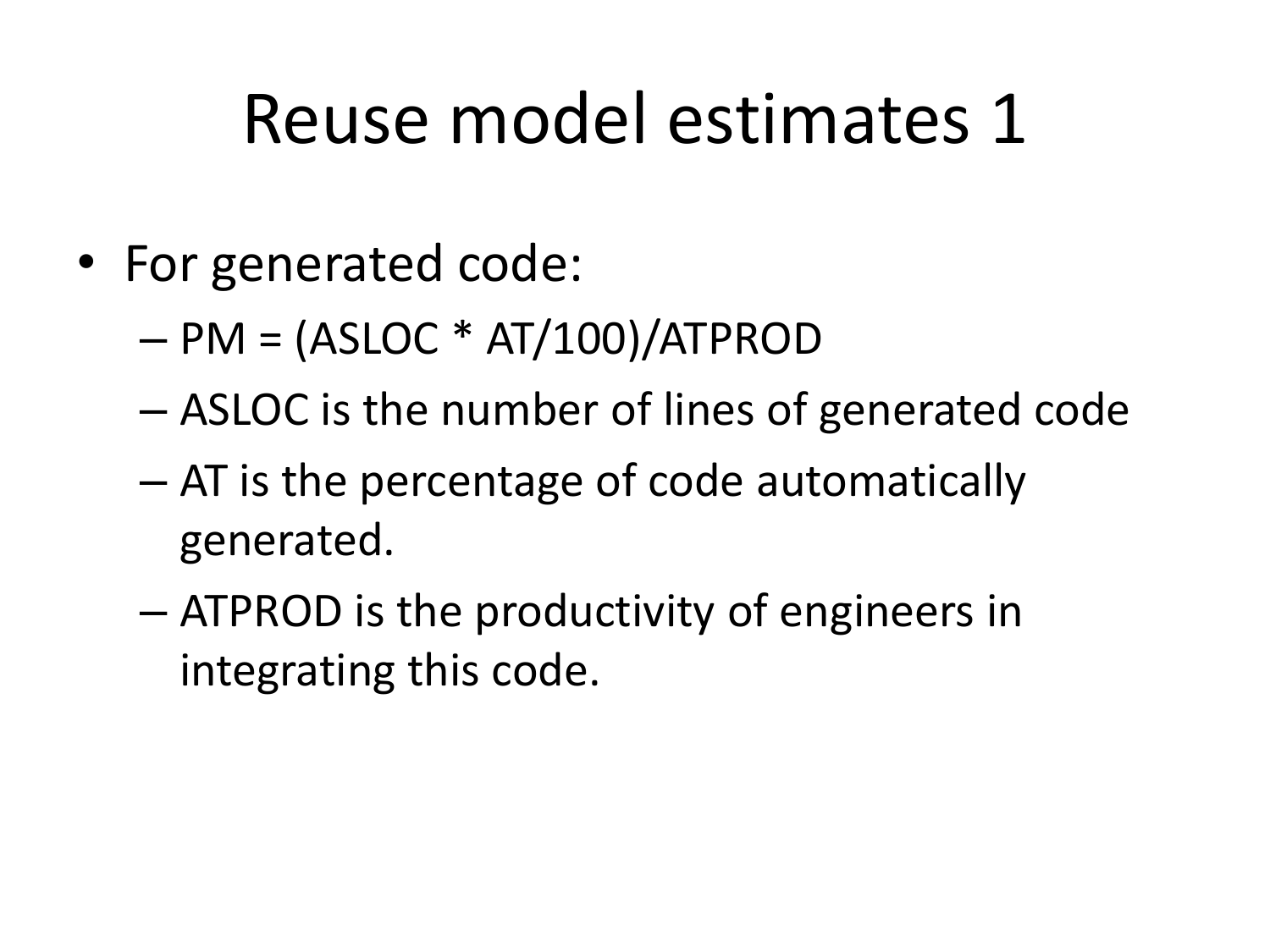#### Reuse model estimates 1

- For generated code:
	- $PM = (ASLOC * AT/100)/ATPROD$
	- ASLOC is the number of lines of generated code
	- AT is the percentage of code automatically generated.
	- ATPROD is the productivity of engineers in integrating this code.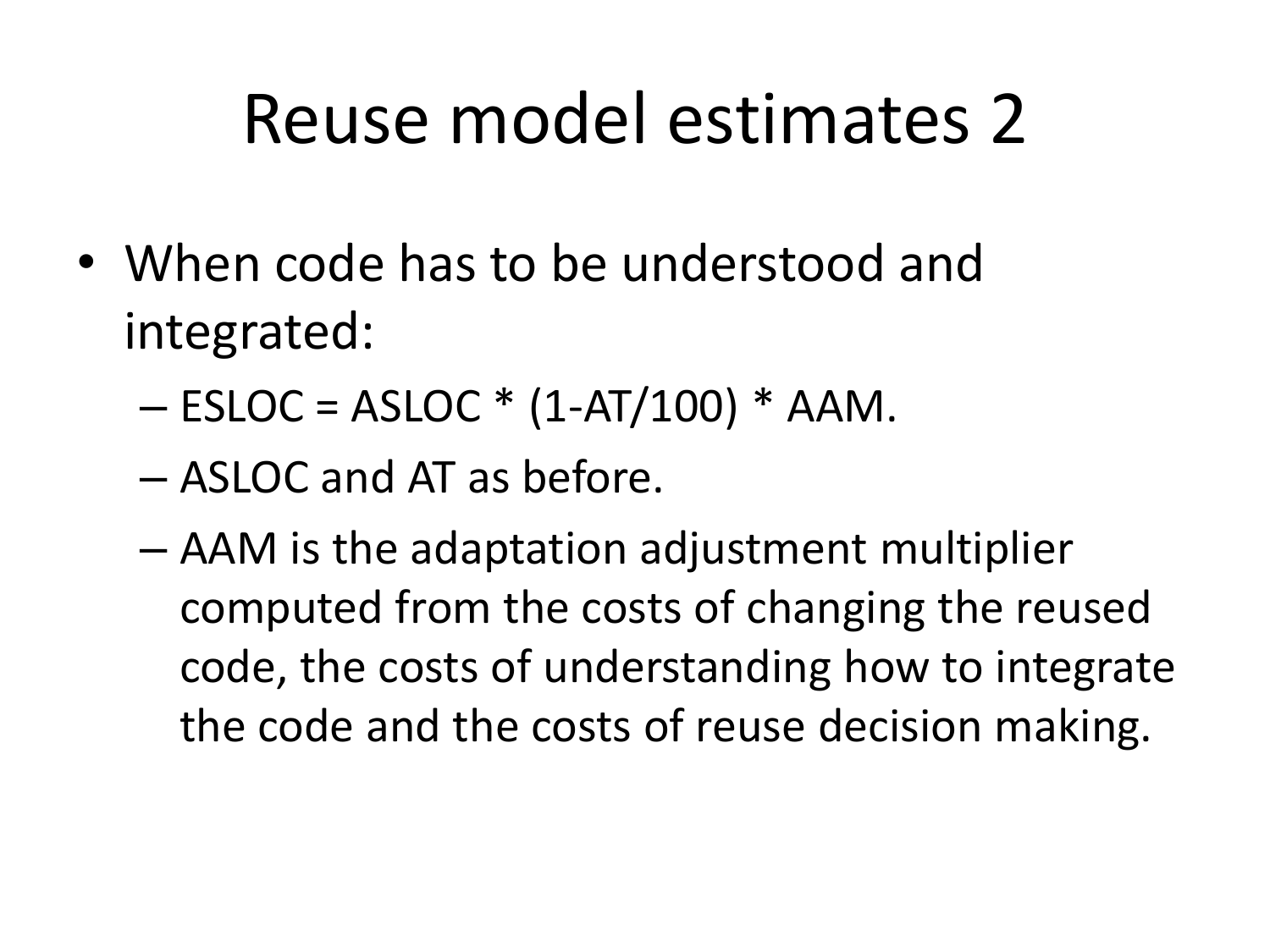#### Reuse model estimates 2

- When code has to be understood and integrated:
	- $-$  ESLOC = ASLOC  $*$  (1-AT/100)  $*$  AAM.
	- ASLOC and AT as before.
	- AAM is the adaptation adjustment multiplier computed from the costs of changing the reused code, the costs of understanding how to integrate the code and the costs of reuse decision making.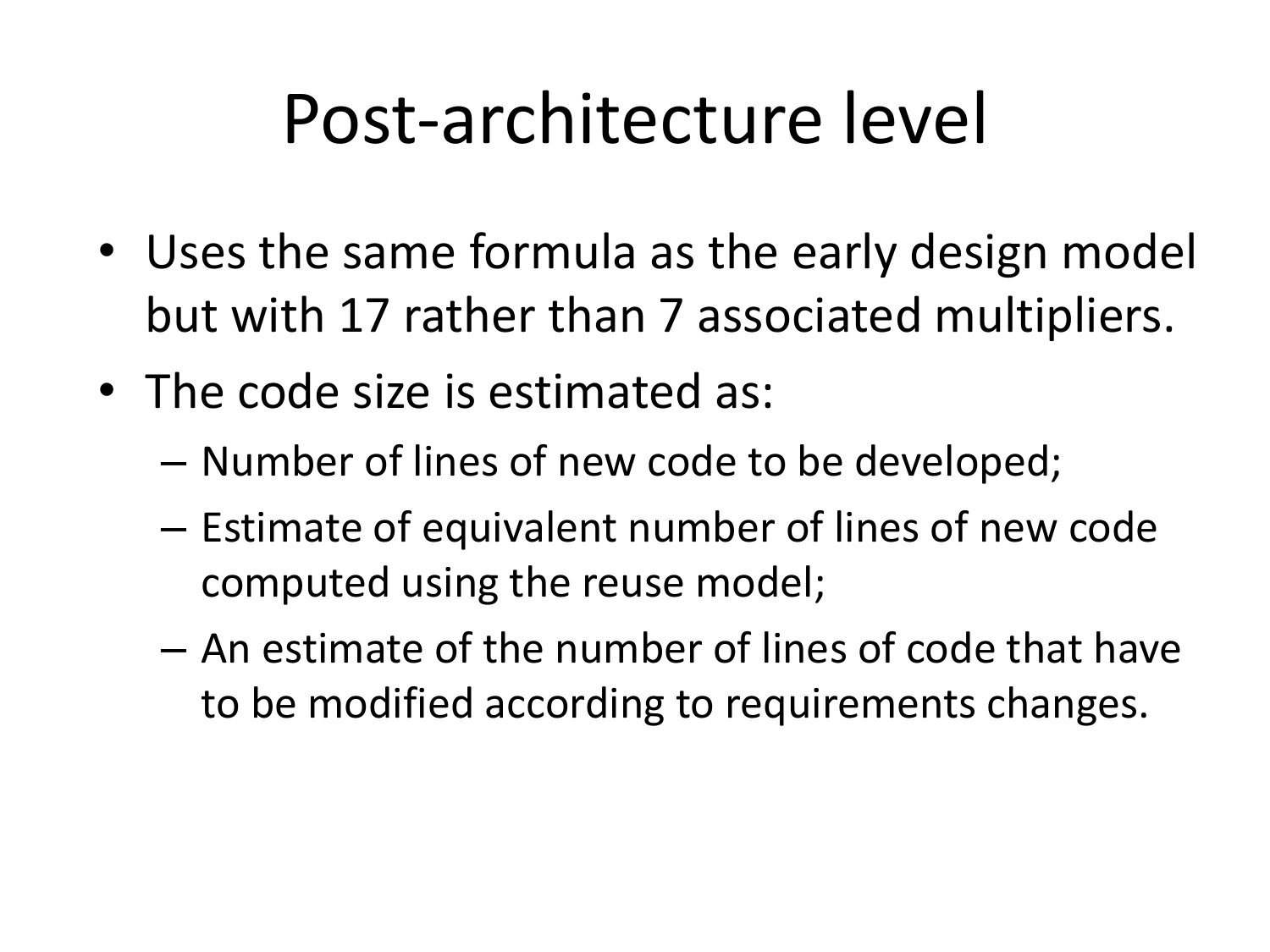#### Post-architecture level

- Uses the same formula as the early design model but with 17 rather than 7 associated multipliers.
- The code size is estimated as:
	- Number of lines of new code to be developed;
	- Estimate of equivalent number of lines of new code computed using the reuse model;
	- An estimate of the number of lines of code that have to be modified according to requirements changes.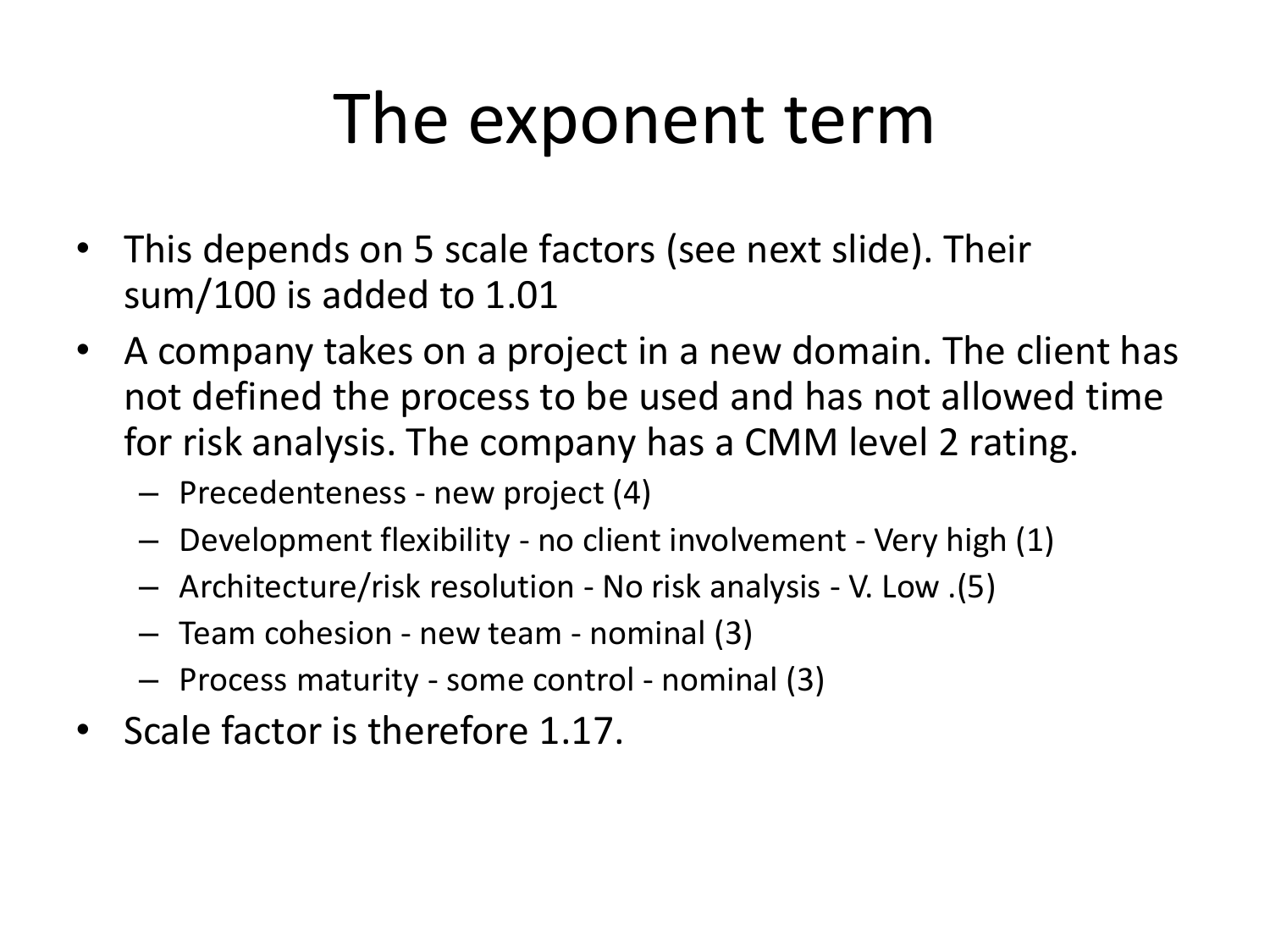#### The exponent term

- This depends on 5 scale factors (see next slide). Their sum/100 is added to 1.01
- A company takes on a project in a new domain. The client has not defined the process to be used and has not allowed time for risk analysis. The company has a CMM level 2 rating.
	- Precedenteness new project (4)
	- Development flexibility no client involvement Very high (1)
	- Architecture/risk resolution No risk analysis V. Low .(5)
	- Team cohesion new team nominal (3)
	- Process maturity some control nominal (3)
- Scale factor is therefore 1.17.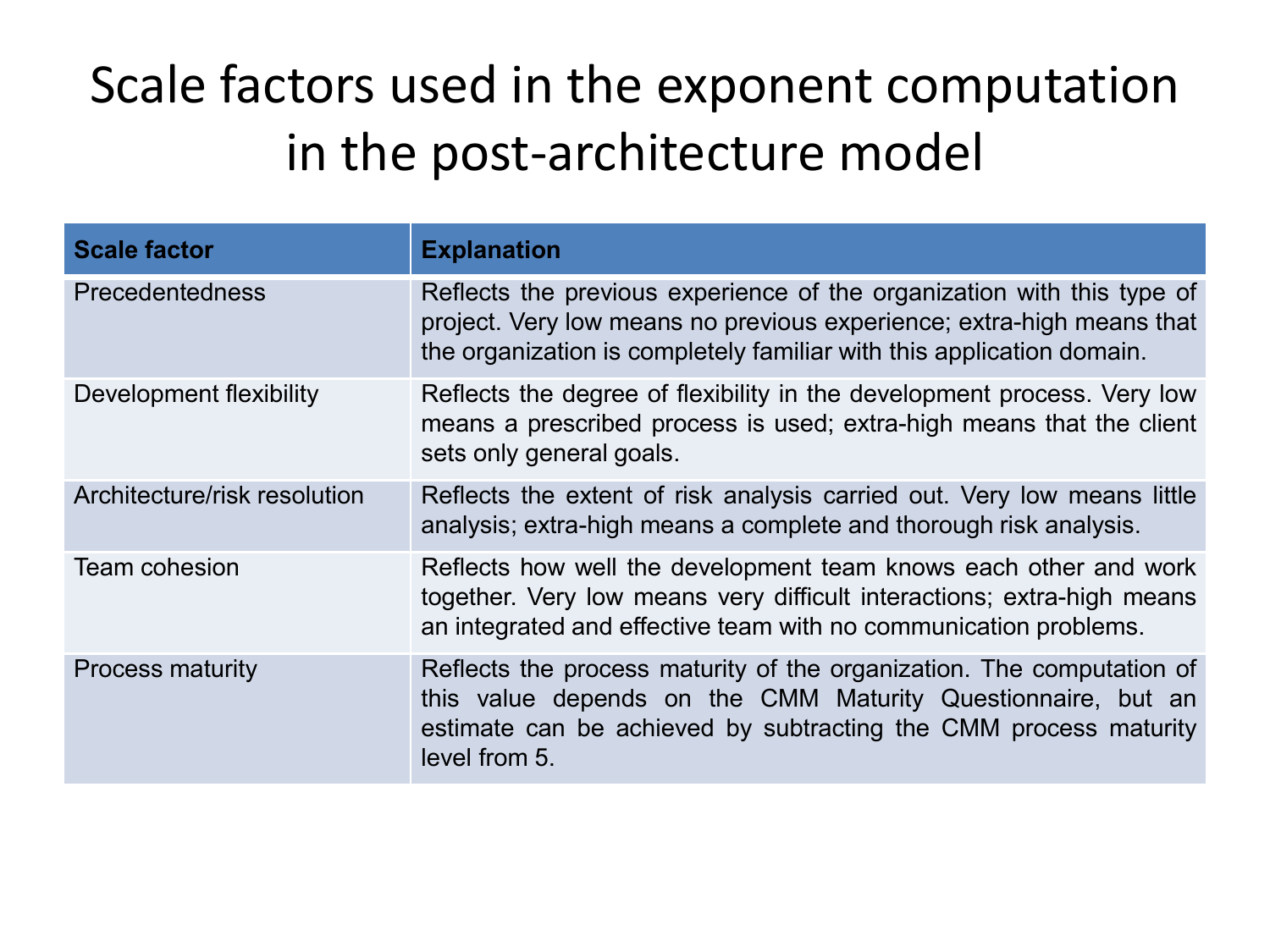#### Scale factors used in the exponent computation in the post-architecture model

| <b>Scale factor</b>          | <b>Explanation</b>                                                                                                                                                                                                         |
|------------------------------|----------------------------------------------------------------------------------------------------------------------------------------------------------------------------------------------------------------------------|
| <b>Precedentedness</b>       | Reflects the previous experience of the organization with this type of<br>project. Very low means no previous experience; extra-high means that<br>the organization is completely familiar with this application domain.   |
| Development flexibility      | Reflects the degree of flexibility in the development process. Very low<br>means a prescribed process is used; extra-high means that the client<br>sets only general goals.                                                |
| Architecture/risk resolution | Reflects the extent of risk analysis carried out. Very low means little<br>analysis; extra-high means a complete and thorough risk analysis.                                                                               |
| <b>Team cohesion</b>         | Reflects how well the development team knows each other and work<br>together. Very low means very difficult interactions; extra-high means<br>an integrated and effective team with no communication problems.             |
| <b>Process maturity</b>      | Reflects the process maturity of the organization. The computation of<br>this value depends on the CMM Maturity Questionnaire, but an<br>estimate can be achieved by subtracting the CMM process maturity<br>level from 5. |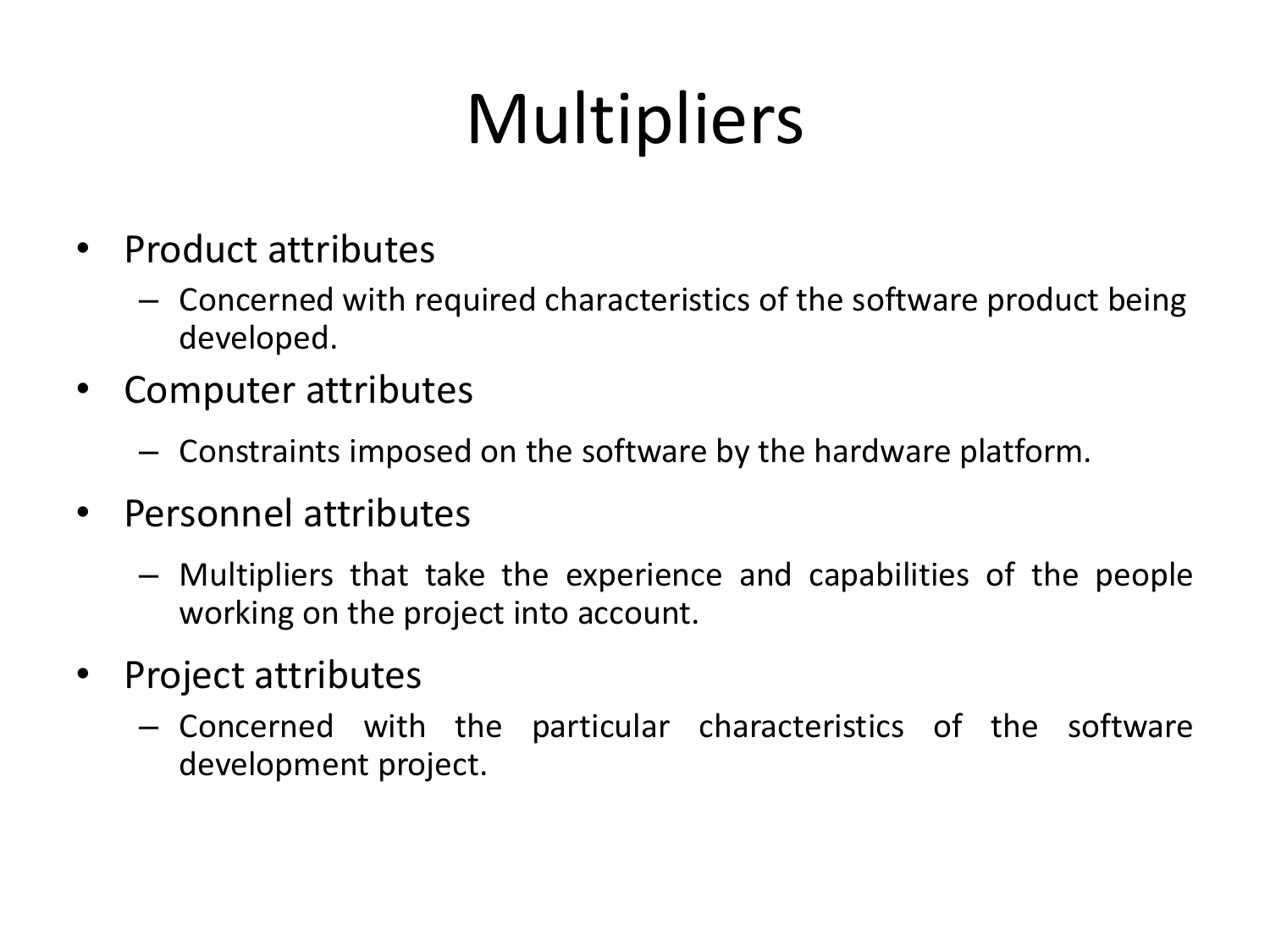# **Multipliers**

- Product attributes
	- Concerned with required characteristics of the software product being developed.
- Computer attributes
	- Constraints imposed on the software by the hardware platform.
- Personnel attributes
	- Multipliers that take the experience and capabilities of the people working on the project into account.
- Project attributes
	- Concerned with the particular characteristics of the software development project.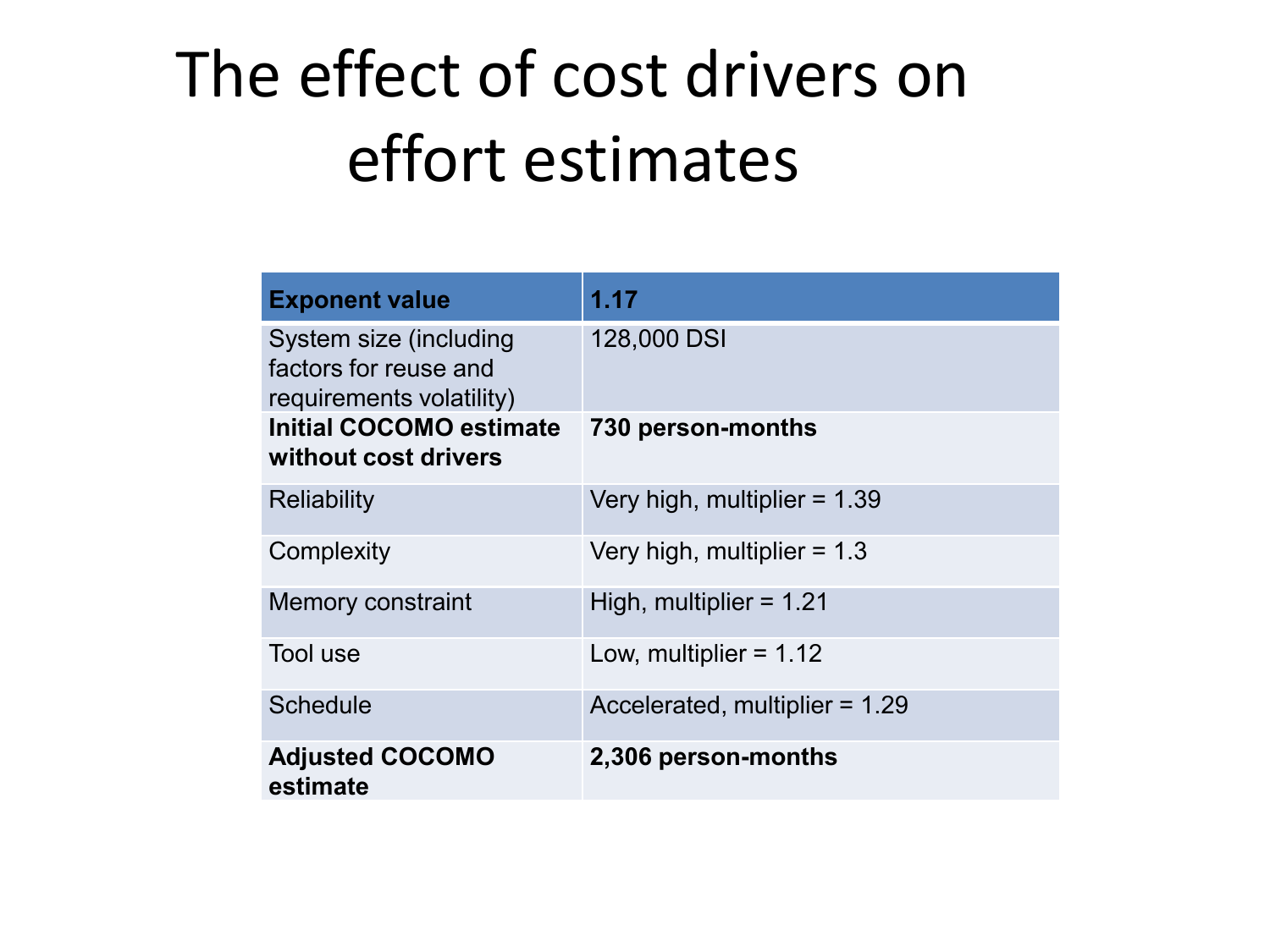#### The effect of cost drivers on effort estimates

| <b>Exponent value</b>                                                       | 1.17                           |
|-----------------------------------------------------------------------------|--------------------------------|
| System size (including<br>factors for reuse and<br>requirements volatility) | 128,000 DSI                    |
| <b>Initial COCOMO estimate</b><br>without cost drivers                      | 730 person-months              |
| <b>Reliability</b>                                                          | Very high, multiplier = $1.39$ |
| Complexity                                                                  | Very high, multiplier $= 1.3$  |
| <b>Memory constraint</b>                                                    | High, multiplier = $1.21$      |
| Tool use                                                                    | Low, multiplier = $1.12$       |
| <b>Schedule</b>                                                             | Accelerated, multiplier = 1.29 |
| <b>Adjusted COCOMO</b><br>estimate                                          | 2,306 person-months            |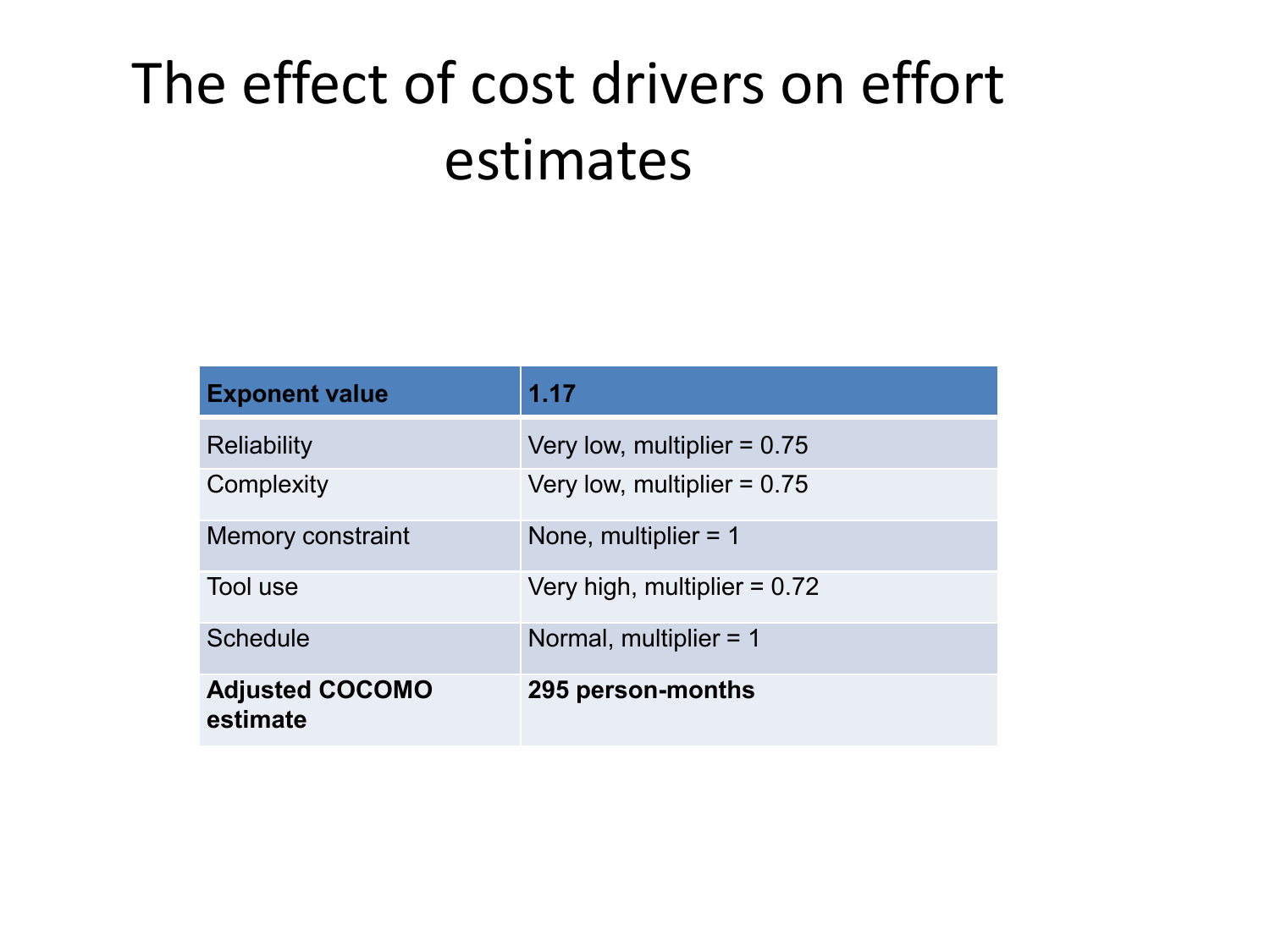#### The effect of cost drivers on effort estimates

| <b>Exponent value</b>              | 1.17                          |
|------------------------------------|-------------------------------|
| Reliability                        | Very low, multiplier $= 0.75$ |
| Complexity                         | Very low, multiplier = $0.75$ |
| <b>Memory constraint</b>           | None, multiplier $= 1$        |
| Tool use                           | Very high, multiplier = 0.72  |
| <b>Schedule</b>                    | Normal, multiplier = 1        |
| <b>Adjusted COCOMO</b><br>estimate | 295 person-months             |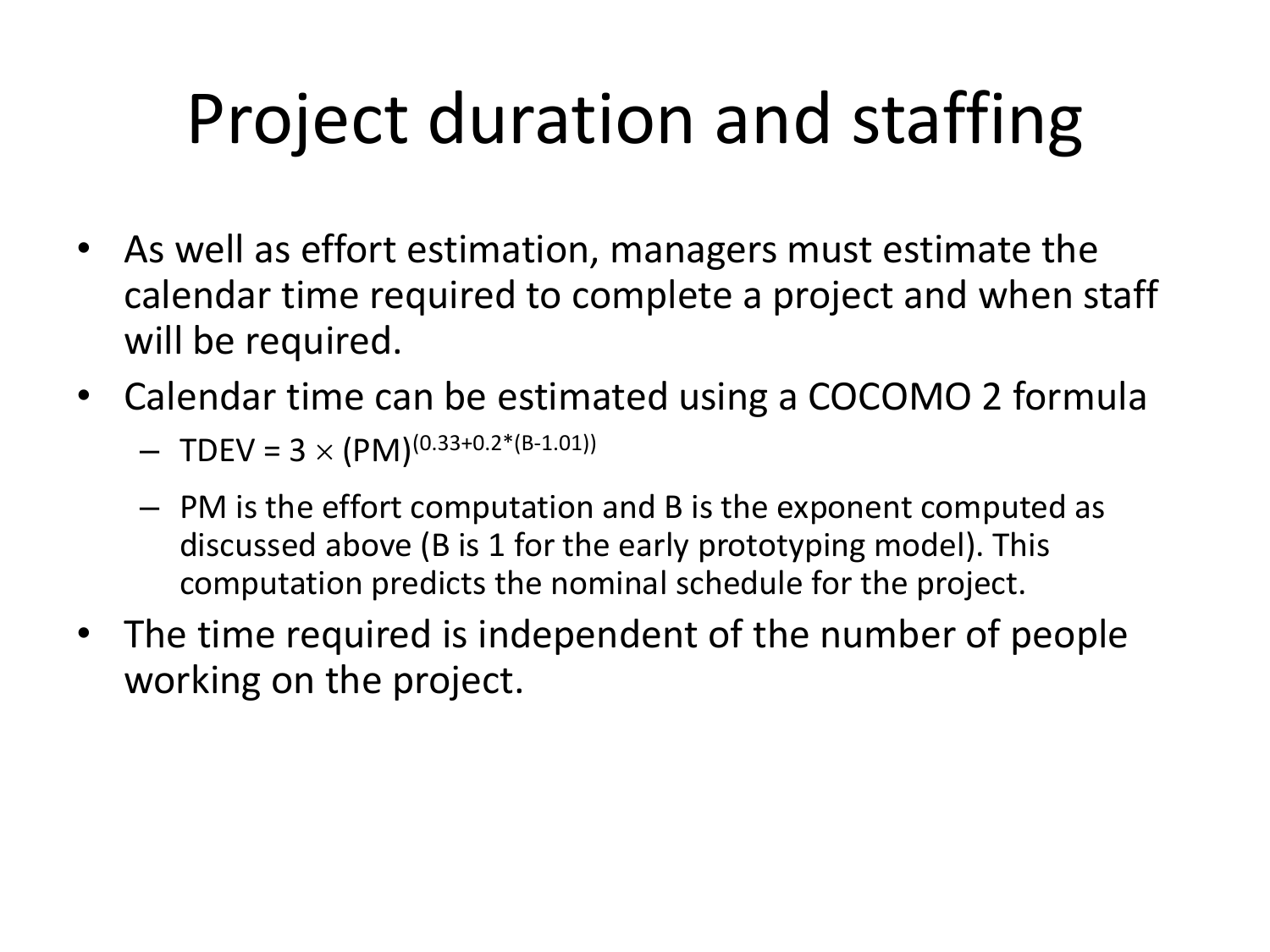## Project duration and staffing

- As well as effort estimation, managers must estimate the calendar time required to complete a project and when staff will be required.
- Calendar time can be estimated using a COCOMO 2 formula
	- TDEV =  $3 \times (PM)^{(0.33+0.2*(B-1.01))}$
	- PM is the effort computation and B is the exponent computed as discussed above (B is 1 for the early prototyping model). This computation predicts the nominal schedule for the project.
- The time required is independent of the number of people working on the project.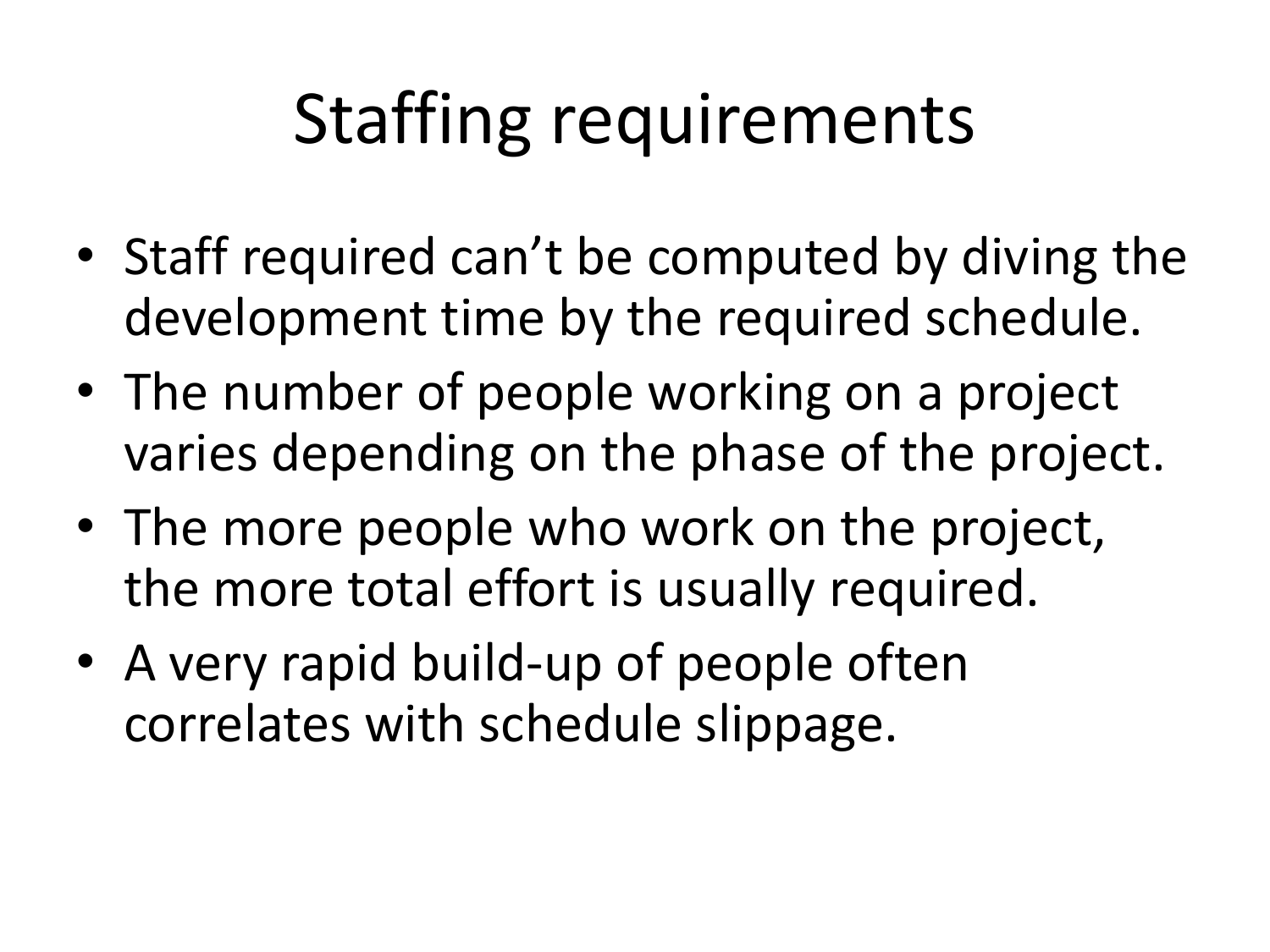## Staffing requirements

- Staff required can't be computed by diving the development time by the required schedule.
- The number of people working on a project varies depending on the phase of the project.
- The more people who work on the project, the more total effort is usually required.
- A very rapid build-up of people often correlates with schedule slippage.